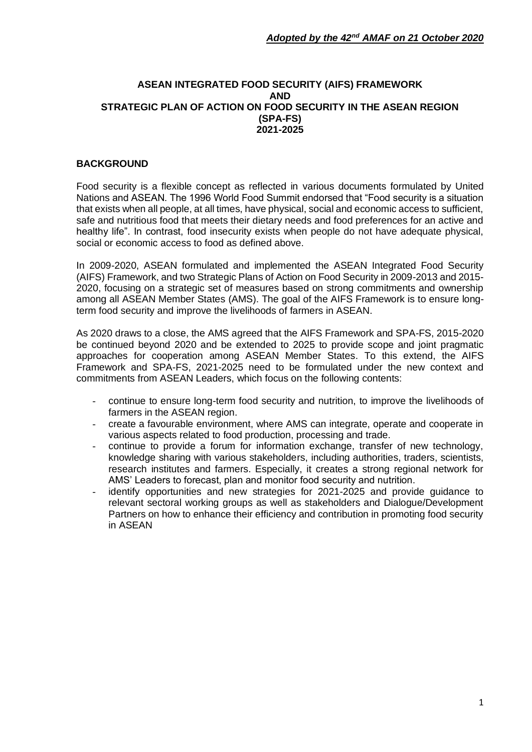#### **ASEAN INTEGRATED FOOD SECURITY (AIFS) FRAMEWORK AND STRATEGIC PLAN OF ACTION ON FOOD SECURITY IN THE ASEAN REGION (SPA-FS) 2021-2025**

## **BACKGROUND**

Food security is a flexible concept as reflected in various documents formulated by United Nations and ASEAN. The 1996 World Food Summit endorsed that "Food security is a situation that exists when all people, at all times, have physical, social and economic access to sufficient, safe and nutritious food that meets their dietary needs and food preferences for an active and healthy life". In contrast, food insecurity exists when people do not have adequate physical, social or economic access to food as defined above.

In 2009-2020, ASEAN formulated and implemented the ASEAN Integrated Food Security (AIFS) Framework, and two Strategic Plans of Action on Food Security in 2009-2013 and 2015- 2020, focusing on a strategic set of measures based on strong commitments and ownership among all ASEAN Member States (AMS). The goal of the AIFS Framework is to ensure longterm food security and improve the livelihoods of farmers in ASEAN.

As 2020 draws to a close, the AMS agreed that the AIFS Framework and SPA-FS, 2015-2020 be continued beyond 2020 and be extended to 2025 to provide scope and joint pragmatic approaches for cooperation among ASEAN Member States. To this extend, the AIFS Framework and SPA-FS, 2021-2025 need to be formulated under the new context and commitments from ASEAN Leaders, which focus on the following contents:

- continue to ensure long-term food security and nutrition, to improve the livelihoods of farmers in the ASEAN region.
- create a favourable environment, where AMS can integrate, operate and cooperate in various aspects related to food production, processing and trade.
- continue to provide a forum for information exchange, transfer of new technology, knowledge sharing with various stakeholders, including authorities, traders, scientists, research institutes and farmers. Especially, it creates a strong regional network for AMS' Leaders to forecast, plan and monitor food security and nutrition.
- identify opportunities and new strategies for 2021-2025 and provide guidance to relevant sectoral working groups as well as stakeholders and Dialogue/Development Partners on how to enhance their efficiency and contribution in promoting food security in ASEAN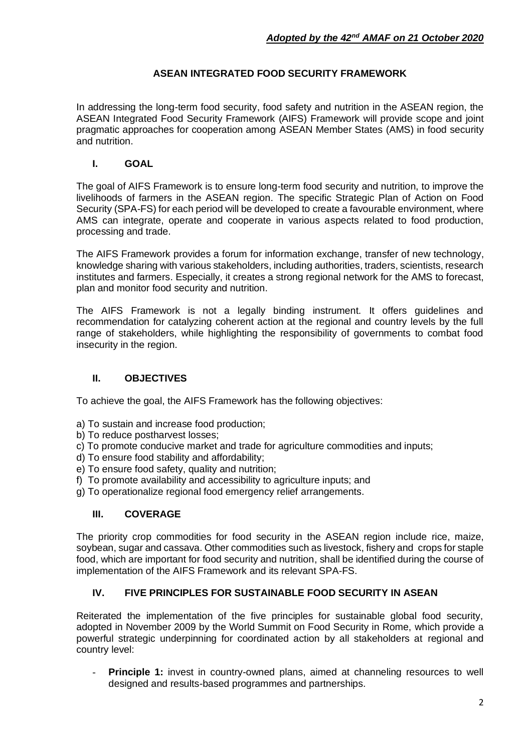# **ASEAN INTEGRATED FOOD SECURITY FRAMEWORK**

In addressing the long-term food security, food safety and nutrition in the ASEAN region, the ASEAN Integrated Food Security Framework (AIFS) Framework will provide scope and joint pragmatic approaches for cooperation among ASEAN Member States (AMS) in food security and nutrition.

## **I. GOAL**

The goal of AIFS Framework is to ensure long-term food security and nutrition, to improve the livelihoods of farmers in the ASEAN region. The specific Strategic Plan of Action on Food Security (SPA-FS) for each period will be developed to create a favourable environment, where AMS can integrate, operate and cooperate in various aspects related to food production, processing and trade.

The AIFS Framework provides a forum for information exchange, transfer of new technology, knowledge sharing with various stakeholders, including authorities, traders, scientists, research institutes and farmers. Especially, it creates a strong regional network for the AMS to forecast, plan and monitor food security and nutrition.

The AIFS Framework is not a legally binding instrument. It offers guidelines and recommendation for catalyzing coherent action at the regional and country levels by the full range of stakeholders, while highlighting the responsibility of governments to combat food insecurity in the region.

# **II. OBJECTIVES**

To achieve the goal, the AIFS Framework has the following objectives:

- a) To sustain and increase food production;
- b) To reduce postharvest losses;
- c) To promote conducive market and trade for agriculture commodities and inputs;
- d) To ensure food stability and affordability;
- e) To ensure food safety, quality and nutrition;
- f) To promote availability and accessibility to agriculture inputs; and
- g) To operationalize regional food emergency relief arrangements.

#### **III. COVERAGE**

The priority crop commodities for food security in the ASEAN region include rice, maize, soybean, sugar and cassava. Other commodities such as livestock, fishery and crops for staple food, which are important for food security and nutrition, shall be identified during the course of implementation of the AIFS Framework and its relevant SPA-FS.

#### **IV. FIVE PRINCIPLES FOR SUSTAINABLE FOOD SECURITY IN ASEAN**

Reiterated the implementation of the five principles for sustainable global food security, adopted in November 2009 by the World Summit on Food Security in Rome, which provide a powerful strategic underpinning for coordinated action by all stakeholders at regional and country level:

**Principle 1:** invest in country-owned plans, aimed at channeling resources to well designed and results-based programmes and partnerships.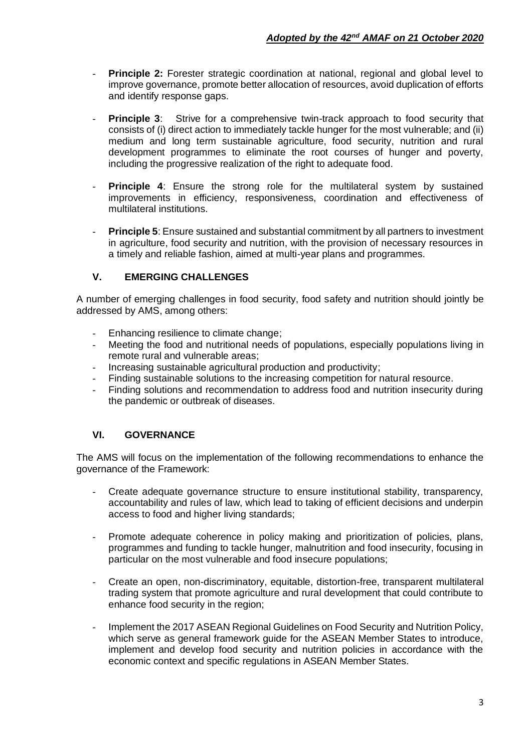- **Principle 2:** Forester strategic coordination at national, regional and global level to improve governance, promote better allocation of resources, avoid duplication of efforts and identify response gaps.
- **Principle 3:** Strive for a comprehensive twin-track approach to food security that consists of (i) direct action to immediately tackle hunger for the most vulnerable; and (ii) medium and long term sustainable agriculture, food security, nutrition and rural development programmes to eliminate the root courses of hunger and poverty, including the progressive realization of the right to adequate food.
- **Principle 4**: Ensure the strong role for the multilateral system by sustained improvements in efficiency, responsiveness, coordination and effectiveness of multilateral institutions.
- **Principle 5**: Ensure sustained and substantial commitment by all partners to investment in agriculture, food security and nutrition, with the provision of necessary resources in a timely and reliable fashion, aimed at multi-year plans and programmes.

# **V. EMERGING CHALLENGES**

A number of emerging challenges in food security, food safety and nutrition should jointly be addressed by AMS, among others:

- Enhancing resilience to climate change;
- Meeting the food and nutritional needs of populations, especially populations living in remote rural and vulnerable areas;
- Increasing sustainable agricultural production and productivity;
- Finding sustainable solutions to the increasing competition for natural resource.
- Finding solutions and recommendation to address food and nutrition insecurity during the pandemic or outbreak of diseases.

# **VI. GOVERNANCE**

The AMS will focus on the implementation of the following recommendations to enhance the governance of the Framework:

- Create adequate governance structure to ensure institutional stability, transparency, accountability and rules of law, which lead to taking of efficient decisions and underpin access to food and higher living standards;
- Promote adequate coherence in policy making and prioritization of policies, plans, programmes and funding to tackle hunger, malnutrition and food insecurity, focusing in particular on the most vulnerable and food insecure populations;
- Create an open, non-discriminatory, equitable, distortion-free, transparent multilateral trading system that promote agriculture and rural development that could contribute to enhance food security in the region;
- Implement the 2017 ASEAN Regional Guidelines on Food Security and Nutrition Policy, which serve as general framework guide for the ASEAN Member States to introduce, implement and develop food security and nutrition policies in accordance with the economic context and specific regulations in ASEAN Member States.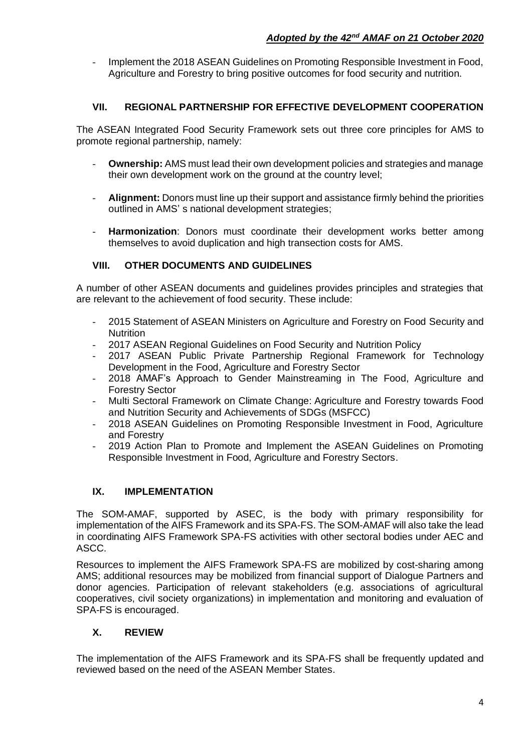Implement the 2018 ASEAN Guidelines on Promoting Responsible Investment in Food, Agriculture and Forestry to bring positive outcomes for food security and nutrition.

## **VII. REGIONAL PARTNERSHIP FOR EFFECTIVE DEVELOPMENT COOPERATION**

The ASEAN Integrated Food Security Framework sets out three core principles for AMS to promote regional partnership, namely:

- **Ownership:** AMS must lead their own development policies and strategies and manage their own development work on the ground at the country level;
- **Alignment:** Donors must line up their support and assistance firmly behind the priorities outlined in AMS' s national development strategies;
- **Harmonization**: Donors must coordinate their development works better among themselves to avoid duplication and high transection costs for AMS.

## **VIII. OTHER DOCUMENTS AND GUIDELINES**

A number of other ASEAN documents and guidelines provides principles and strategies that are relevant to the achievement of food security. These include:

- 2015 Statement of ASEAN Ministers on Agriculture and Forestry on Food Security and **Nutrition**
- 2017 ASEAN Regional Guidelines on Food Security and Nutrition Policy
- 2017 ASEAN Public Private Partnership Regional Framework for Technology Development in the Food, Agriculture and Forestry Sector
- 2018 AMAF's Approach to Gender Mainstreaming in The Food, Agriculture and Forestry Sector
- Multi Sectoral Framework on Climate Change: Agriculture and Forestry towards Food and Nutrition Security and Achievements of SDGs (MSFCC)
- 2018 ASEAN Guidelines on Promoting Responsible Investment in Food, Agriculture and Forestry
- 2019 Action Plan to Promote and Implement the ASEAN Guidelines on Promoting Responsible Investment in Food, Agriculture and Forestry Sectors.

#### **IX. IMPLEMENTATION**

The SOM-AMAF, supported by ASEC, is the body with primary responsibility for implementation of the AIFS Framework and its SPA-FS. The SOM-AMAF will also take the lead in coordinating AIFS Framework SPA-FS activities with other sectoral bodies under AEC and ASCC.

Resources to implement the AIFS Framework SPA-FS are mobilized by cost-sharing among AMS; additional resources may be mobilized from financial support of Dialogue Partners and donor agencies. Participation of relevant stakeholders (e.g. associations of agricultural cooperatives, civil society organizations) in implementation and monitoring and evaluation of SPA-FS is encouraged.

# **X. REVIEW**

The implementation of the AIFS Framework and its SPA-FS shall be frequently updated and reviewed based on the need of the ASEAN Member States.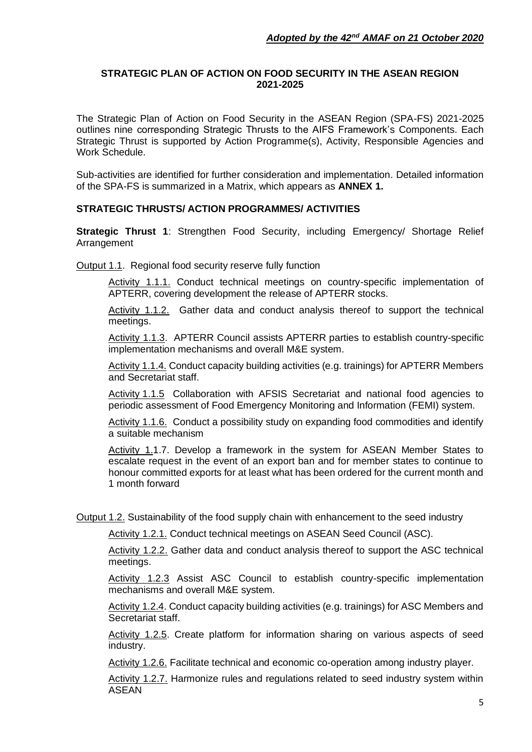## **STRATEGIC PLAN OF ACTION ON FOOD SECURITY IN THE ASEAN REGION 2021-2025**

The Strategic Plan of Action on Food Security in the ASEAN Region (SPA-FS) 2021-2025 outlines nine corresponding Strategic Thrusts to the AIFS Framework's Components. Each Strategic Thrust is supported by Action Programme(s), Activity, Responsible Agencies and Work Schedule.

Sub-activities are identified for further consideration and implementation. Detailed information of the SPA-FS is summarized in a Matrix, which appears as **ANNEX 1.**

## **STRATEGIC THRUSTS/ ACTION PROGRAMMES/ ACTIVITIES**

**Strategic Thrust 1**: Strengthen Food Security, including Emergency/ Shortage Relief Arrangement

Output 1.1. Regional food security reserve fully function

Activity 1.1.1. Conduct technical meetings on country-specific implementation of APTERR, covering development the release of APTERR stocks.

Activity 1.1.2. Gather data and conduct analysis thereof to support the technical meetings.

Activity 1.1.3. APTERR Council assists APTERR parties to establish country-specific implementation mechanisms and overall M&E system.

Activity 1.1.4. Conduct capacity building activities (e.g. trainings) for APTERR Members and Secretariat staff.

Activity 1.1.5 Collaboration with AFSIS Secretariat and national food agencies to periodic assessment of Food Emergency Monitoring and Information (FEMI) system.

Activity 1.1.6. Conduct a possibility study on expanding food commodities and identify a suitable mechanism

Activity 1.1.7. Develop a framework in the system for ASEAN Member States to escalate request in the event of an export ban and for member states to continue to honour committed exports for at least what has been ordered for the current month and 1 month forward

Output 1.2. Sustainability of the food supply chain with enhancement to the seed industry

Activity 1.2.1. Conduct technical meetings on ASEAN Seed Council (ASC).

Activity 1.2.2. Gather data and conduct analysis thereof to support the ASC technical meetings.

Activity 1.2.3 Assist ASC Council to establish country-specific implementation mechanisms and overall M&E system.

Activity 1.2.4. Conduct capacity building activities (e.g. trainings) for ASC Members and Secretariat staff.

Activity 1.2.5. Create platform for information sharing on various aspects of seed industry.

Activity 1.2.6. Facilitate technical and economic co-operation among industry player.

Activity 1.2.7. Harmonize rules and regulations related to seed industry system within ASEAN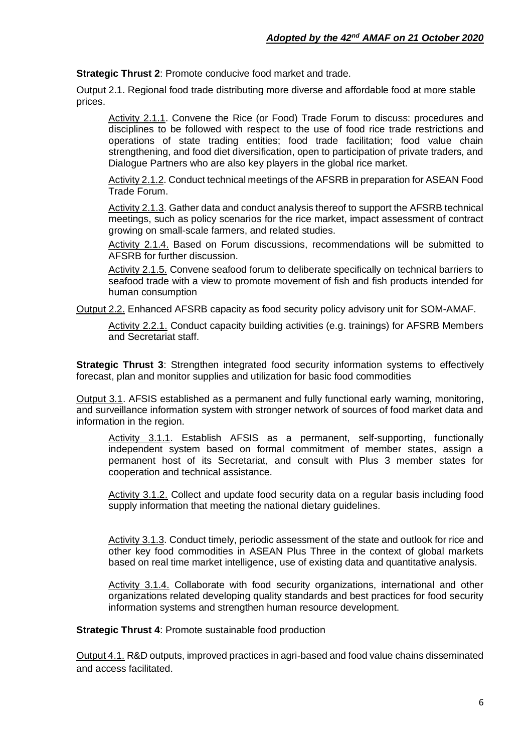**Strategic Thrust 2**: Promote conducive food market and trade.

Output 2.1. Regional food trade distributing more diverse and affordable food at more stable prices.

Activity 2.1.1. Convene the Rice (or Food) Trade Forum to discuss: procedures and disciplines to be followed with respect to the use of food rice trade restrictions and operations of state trading entities; food trade facilitation; food value chain strengthening, and food diet diversification, open to participation of private traders, and Dialogue Partners who are also key players in the global rice market.

Activity 2.1.2. Conduct technical meetings of the AFSRB in preparation for ASEAN Food Trade Forum.

Activity 2.1.3. Gather data and conduct analysis thereof to support the AFSRB technical meetings, such as policy scenarios for the rice market, impact assessment of contract growing on small-scale farmers, and related studies.

Activity 2.1.4. Based on Forum discussions, recommendations will be submitted to AFSRB for further discussion.

Activity 2.1.5. Convene seafood forum to deliberate specifically on technical barriers to seafood trade with a view to promote movement of fish and fish products intended for human consumption

Output 2.2. Enhanced AFSRB capacity as food security policy advisory unit for SOM-AMAF.

Activity 2.2.1. Conduct capacity building activities (e.g. trainings) for AFSRB Members and Secretariat staff.

**Strategic Thrust 3:** Strengthen integrated food security information systems to effectively forecast, plan and monitor supplies and utilization for basic food commodities

Output 3.1. AFSIS established as a permanent and fully functional early warning, monitoring, and surveillance information system with stronger network of sources of food market data and information in the region.

Activity 3.1.1. Establish AFSIS as a permanent, self-supporting, functionally independent system based on formal commitment of member states, assign a permanent host of its Secretariat, and consult with Plus 3 member states for cooperation and technical assistance.

Activity 3.1.2. Collect and update food security data on a regular basis including food supply information that meeting the national dietary guidelines.

Activity 3.1.3. Conduct timely, periodic assessment of the state and outlook for rice and other key food commodities in ASEAN Plus Three in the context of global markets based on real time market intelligence, use of existing data and quantitative analysis.

Activity 3.1.4. Collaborate with food security organizations, international and other organizations related developing quality standards and best practices for food security information systems and strengthen human resource development.

**Strategic Thrust 4: Promote sustainable food production** 

Output 4.1. R&D outputs, improved practices in agri-based and food value chains disseminated and access facilitated.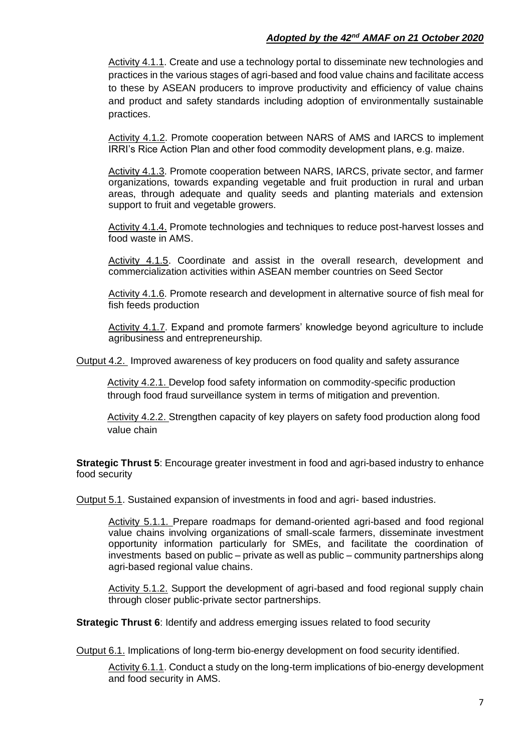## *Adopted by the 42nd AMAF on 21 October 2020*

Activity 4.1.1. Create and use a technology portal to disseminate new technologies and practices in the various stages of agri-based and food value chains and facilitate access to these by ASEAN producers to improve productivity and efficiency of value chains and product and safety standards including adoption of environmentally sustainable practices.

Activity 4.1.2. Promote cooperation between NARS of AMS and IARCS to implement IRRI's Rice Action Plan and other food commodity development plans, e.g. maize.

Activity 4.1.3. Promote cooperation between NARS, IARCS, private sector, and farmer organizations, towards expanding vegetable and fruit production in rural and urban areas, through adequate and quality seeds and planting materials and extension support to fruit and vegetable growers.

Activity 4.1.4. Promote technologies and techniques to reduce post-harvest losses and food waste in AMS.

Activity 4.1.5. Coordinate and assist in the overall research, development and commercialization activities within ASEAN member countries on Seed Sector

Activity 4.1.6. Promote research and development in alternative source of fish meal for fish feeds production

Activity 4.1.7. Expand and promote farmers' knowledge beyond agriculture to include agribusiness and entrepreneurship.

Output 4.2. Improved awareness of key producers on food quality and safety assurance

Activity 4.2.1. Develop food safety information on commodity-specific production through food fraud surveillance system in terms of mitigation and prevention.

Activity 4.2.2. Strengthen capacity of key players on safety food production along food value chain

**Strategic Thrust 5**: Encourage greater investment in food and agri-based industry to enhance food security

Output 5.1. Sustained expansion of investments in food and agri- based industries.

Activity 5.1.1. Prepare roadmaps for demand-oriented agri-based and food regional value chains involving organizations of small-scale farmers, disseminate investment opportunity information particularly for SMEs, and facilitate the coordination of investments based on public – private as well as public – community partnerships along agri-based regional value chains.

Activity 5.1.2. Support the development of agri-based and food regional supply chain through closer public-private sector partnerships.

**Strategic Thrust 6**: Identify and address emerging issues related to food security

Output 6.1. Implications of long-term bio-energy development on food security identified.

Activity 6.1.1. Conduct a study on the long-term implications of bio-energy development and food security in AMS.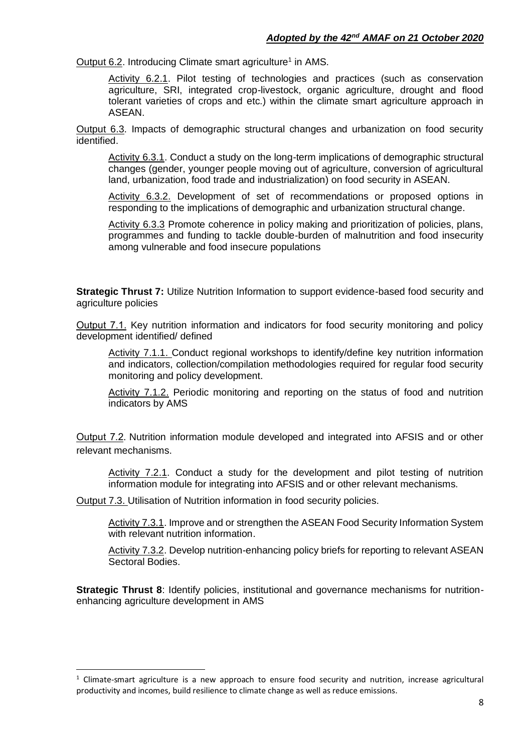Output 6.2. Introducing Climate smart agriculture<sup>1</sup> in AMS.

Activity 6.2.1. Pilot testing of technologies and practices (such as conservation agriculture, SRI, integrated crop-livestock, organic agriculture, drought and flood tolerant varieties of crops and etc.) within the climate smart agriculture approach in ASEAN.

Output 6.3. Impacts of demographic structural changes and urbanization on food security identified.

Activity 6.3.1. Conduct a study on the long-term implications of demographic structural changes (gender, younger people moving out of agriculture, conversion of agricultural land, urbanization, food trade and industrialization) on food security in ASEAN.

Activity 6.3.2. Development of set of recommendations or proposed options in responding to the implications of demographic and urbanization structural change.

Activity 6.3.3 Promote coherence in policy making and prioritization of policies, plans, programmes and funding to tackle double-burden of malnutrition and food insecurity among vulnerable and food insecure populations

**Strategic Thrust 7:** Utilize Nutrition Information to support evidence-based food security and agriculture policies

Output 7.1. Key nutrition information and indicators for food security monitoring and policy development identified/ defined

Activity 7.1.1. Conduct regional workshops to identify/define key nutrition information and indicators, collection/compilation methodologies required for regular food security monitoring and policy development.

Activity 7.1.2. Periodic monitoring and reporting on the status of food and nutrition indicators by AMS

Output 7.2. Nutrition information module developed and integrated into AFSIS and or other relevant mechanisms.

Activity 7.2.1. Conduct a study for the development and pilot testing of nutrition information module for integrating into AFSIS and or other relevant mechanisms.

Output 7.3. Utilisation of Nutrition information in food security policies.

Activity 7.3.1. Improve and or strengthen the ASEAN Food Security Information System with relevant nutrition information.

Activity 7.3.2. Develop nutrition-enhancing policy briefs for reporting to relevant ASEAN Sectoral Bodies.

**Strategic Thrust 8:** Identify policies, institutional and governance mechanisms for nutritionenhancing agriculture development in AMS

 $1$  Climate-smart agriculture is a new approach to ensure food security and nutrition, increase agricultural productivity and incomes, build resilience to climate change as well as reduce emissions.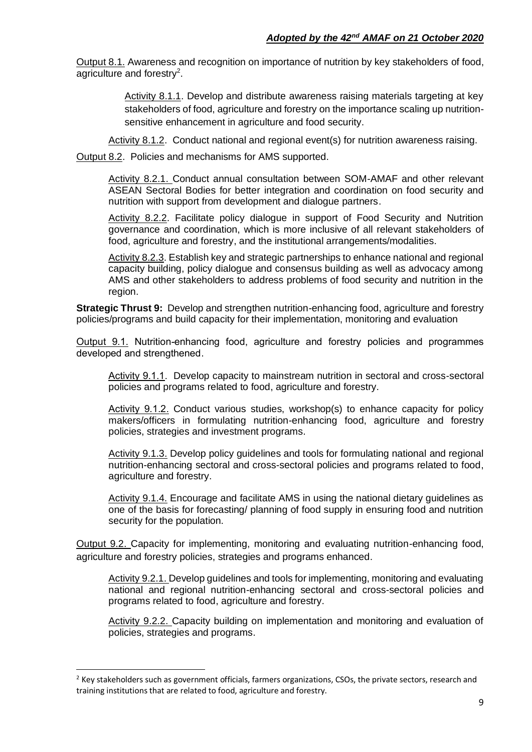Output 8.1. Awareness and recognition on importance of nutrition by key stakeholders of food, agriculture and forestry<sup>2</sup>.

> Activity 8.1.1. Develop and distribute awareness raising materials targeting at key stakeholders of food, agriculture and forestry on the importance scaling up nutritionsensitive enhancement in agriculture and food security.

Activity 8.1.2. Conduct national and regional event(s) for nutrition awareness raising.

Output 8.2. Policies and mechanisms for AMS supported.

Activity 8.2.1. Conduct annual consultation between SOM-AMAF and other relevant ASEAN Sectoral Bodies for better integration and coordination on food security and nutrition with support from development and dialogue partners.

Activity 8.2.2. Facilitate policy dialogue in support of Food Security and Nutrition governance and coordination, which is more inclusive of all relevant stakeholders of food, agriculture and forestry, and the institutional arrangements/modalities.

Activity 8.2.3. Establish key and strategic partnerships to enhance national and regional capacity building, policy dialogue and consensus building as well as advocacy among AMS and other stakeholders to address problems of food security and nutrition in the region.

**Strategic Thrust 9:** Develop and strengthen nutrition-enhancing food, agriculture and forestry policies/programs and build capacity for their implementation, monitoring and evaluation

Output 9.1. Nutrition-enhancing food, agriculture and forestry policies and programmes developed and strengthened.

Activity 9.1.1. Develop capacity to mainstream nutrition in sectoral and cross-sectoral policies and programs related to food, agriculture and forestry.

Activity 9.1.2. Conduct various studies, workshop(s) to enhance capacity for policy makers/officers in formulating nutrition-enhancing food, agriculture and forestry policies, strategies and investment programs.

Activity 9.1.3. Develop policy guidelines and tools for formulating national and regional nutrition-enhancing sectoral and cross-sectoral policies and programs related to food, agriculture and forestry.

Activity 9.1.4. Encourage and facilitate AMS in using the national dietary guidelines as one of the basis for forecasting/ planning of food supply in ensuring food and nutrition security for the population.

Output 9.2. Capacity for implementing, monitoring and evaluating nutrition-enhancing food, agriculture and forestry policies, strategies and programs enhanced.

Activity 9.2.1. Develop guidelines and tools for implementing, monitoring and evaluating national and regional nutrition-enhancing sectoral and cross-sectoral policies and programs related to food, agriculture and forestry.

Activity 9.2.2. Capacity building on implementation and monitoring and evaluation of policies, strategies and programs.

 $<sup>2</sup>$  Key stakeholders such as government officials, farmers organizations, CSOs, the private sectors, research and</sup> training institutions that are related to food, agriculture and forestry.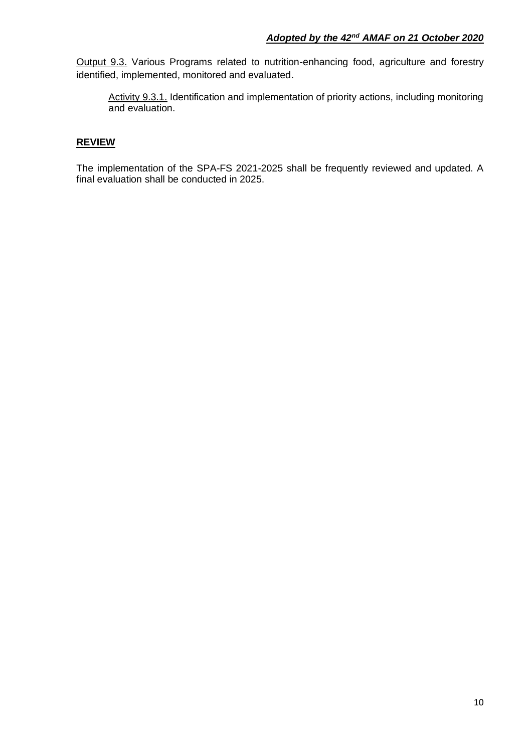Output 9.3. Various Programs related to nutrition-enhancing food, agriculture and forestry identified, implemented, monitored and evaluated.

Activity 9.3.1. Identification and implementation of priority actions, including monitoring and evaluation.

## **REVIEW**

The implementation of the SPA-FS 2021-2025 shall be frequently reviewed and updated. A final evaluation shall be conducted in 2025.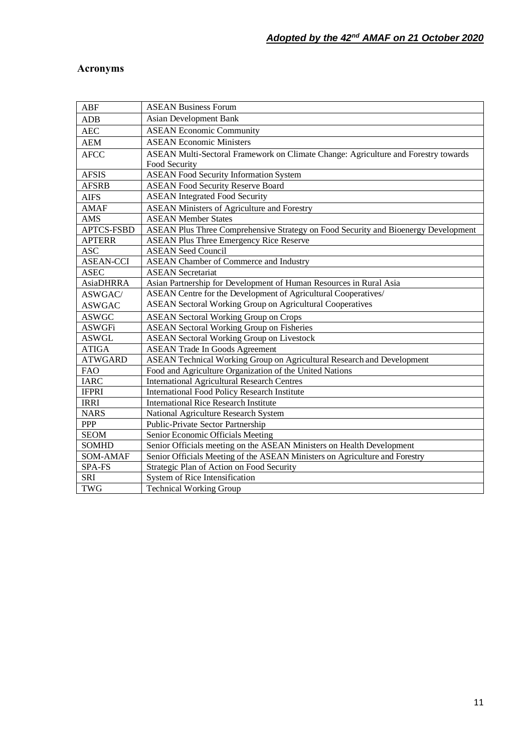# **Acronyms**

| <b>ABF</b>        | <b>ASEAN Business Forum</b>                                                        |
|-------------------|------------------------------------------------------------------------------------|
| ADB               | Asian Development Bank                                                             |
| <b>AEC</b>        | <b>ASEAN Economic Community</b>                                                    |
| <b>AEM</b>        | <b>ASEAN Economic Ministers</b>                                                    |
| <b>AFCC</b>       | ASEAN Multi-Sectoral Framework on Climate Change: Agriculture and Forestry towards |
|                   | Food Security                                                                      |
| <b>AFSIS</b>      | <b>ASEAN Food Security Information System</b>                                      |
| <b>AFSRB</b>      | <b>ASEAN Food Security Reserve Board</b>                                           |
| <b>AIFS</b>       | <b>ASEAN Integrated Food Security</b>                                              |
| <b>AMAF</b>       | <b>ASEAN Ministers of Agriculture and Forestry</b>                                 |
| AMS               | <b>ASEAN Member States</b>                                                         |
| <b>APTCS-FSBD</b> | ASEAN Plus Three Comprehensive Strategy on Food Security and Bioenergy Development |
| <b>APTERR</b>     | <b>ASEAN Plus Three Emergency Rice Reserve</b>                                     |
| <b>ASC</b>        | <b>ASEAN Seed Council</b>                                                          |
| <b>ASEAN-CCI</b>  | <b>ASEAN</b> Chamber of Commerce and Industry                                      |
| <b>ASEC</b>       | <b>ASEAN</b> Secretariat                                                           |
| <b>AsiaDHRRA</b>  | Asian Partnership for Development of Human Resources in Rural Asia                 |
| ASWGAC/           | ASEAN Centre for the Development of Agricultural Cooperatives/                     |
| <b>ASWGAC</b>     | <b>ASEAN Sectoral Working Group on Agricultural Cooperatives</b>                   |
| <b>ASWGC</b>      | <b>ASEAN Sectoral Working Group on Crops</b>                                       |
| <b>ASWGFi</b>     | <b>ASEAN Sectoral Working Group on Fisheries</b>                                   |
| <b>ASWGL</b>      | <b>ASEAN Sectoral Working Group on Livestock</b>                                   |
| <b>ATIGA</b>      | <b>ASEAN Trade In Goods Agreement</b>                                              |
| <b>ATWGARD</b>    | ASEAN Technical Working Group on Agricultural Research and Development             |
| <b>FAO</b>        | Food and Agriculture Organization of the United Nations                            |
| <b>IARC</b>       | <b>International Agricultural Research Centres</b>                                 |
| <b>IFPRI</b>      | <b>International Food Policy Research Institute</b>                                |
| <b>IRRI</b>       | <b>International Rice Research Institute</b>                                       |
| <b>NARS</b>       | National Agriculture Research System                                               |
| PPP               | Public-Private Sector Partnership                                                  |
| <b>SEOM</b>       | Senior Economic Officials Meeting                                                  |
| <b>SOMHD</b>      | Senior Officials meeting on the ASEAN Ministers on Health Development              |
| SOM-AMAF          | Senior Officials Meeting of the ASEAN Ministers on Agriculture and Forestry        |
| SPA-FS            | Strategic Plan of Action on Food Security                                          |
| <b>SRI</b>        | System of Rice Intensification                                                     |
| <b>TWG</b>        | <b>Technical Working Group</b>                                                     |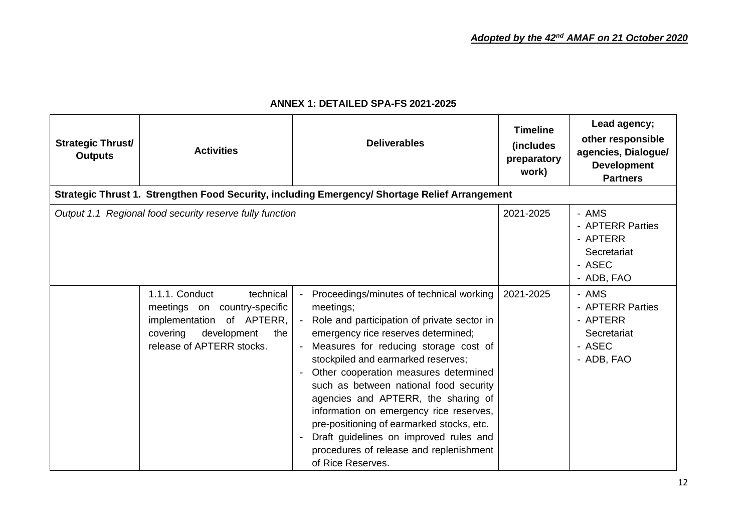| <b>Strategic Thrust/</b><br><b>Outputs</b> | <b>Activities</b>                                                                                                                                       | <b>Deliverables</b>                                                                                                                                                                                                                                                                                                                                                                                                                                                                                                                                      | <b>Timeline</b><br><i>(includes)</i><br>preparatory<br>work) | Lead agency;<br>other responsible<br>agencies, Dialogue/<br><b>Development</b><br><b>Partners</b> |
|--------------------------------------------|---------------------------------------------------------------------------------------------------------------------------------------------------------|----------------------------------------------------------------------------------------------------------------------------------------------------------------------------------------------------------------------------------------------------------------------------------------------------------------------------------------------------------------------------------------------------------------------------------------------------------------------------------------------------------------------------------------------------------|--------------------------------------------------------------|---------------------------------------------------------------------------------------------------|
|                                            |                                                                                                                                                         | Strategic Thrust 1. Strengthen Food Security, including Emergency/ Shortage Relief Arrangement                                                                                                                                                                                                                                                                                                                                                                                                                                                           |                                                              |                                                                                                   |
|                                            | Output 1.1 Regional food security reserve fully function                                                                                                |                                                                                                                                                                                                                                                                                                                                                                                                                                                                                                                                                          | 2021-2025                                                    | - AMS<br>- APTERR Parties<br>- APTERR<br>Secretariat<br>- ASEC<br>- ADB, FAO                      |
|                                            | 1.1.1. Conduct<br>technical<br>meetings on country-specific<br>implementation of APTERR,<br>covering<br>development<br>the<br>release of APTERR stocks. | Proceedings/minutes of technical working<br>meetings;<br>- Role and participation of private sector in<br>emergency rice reserves determined;<br>Measures for reducing storage cost of<br>stockpiled and earmarked reserves;<br>Other cooperation measures determined<br>such as between national food security<br>agencies and APTERR, the sharing of<br>information on emergency rice reserves,<br>pre-positioning of earmarked stocks, etc.<br>Draft guidelines on improved rules and<br>procedures of release and replenishment<br>of Rice Reserves. | 2021-2025                                                    | - AMS<br>- APTERR Parties<br>- APTERR<br>Secretariat<br>- ASEC<br>- ADB, FAO                      |

# **ANNEX 1: DETAILED SPA-FS 2021-2025**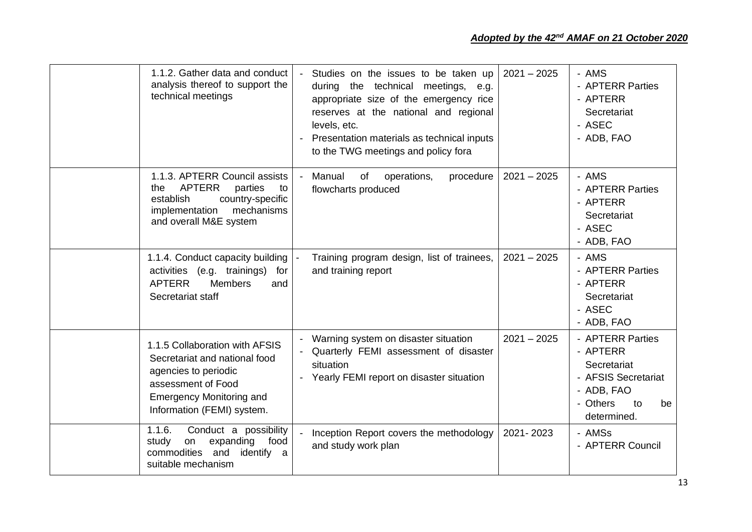| 1.1.2. Gather data and conduct<br>analysis thereof to support the<br>technical meetings                                                                                        | - Studies on the issues to be taken up<br>during the technical meetings, e.g.<br>appropriate size of the emergency rice<br>reserves at the national and regional<br>levels, etc.<br>Presentation materials as technical inputs<br>to the TWG meetings and policy fora | $2021 - 2025$ | - AMS<br>- APTERR Parties<br>- APTERR<br>Secretariat<br>- ASEC<br>- ADB, FAO                                            |
|--------------------------------------------------------------------------------------------------------------------------------------------------------------------------------|-----------------------------------------------------------------------------------------------------------------------------------------------------------------------------------------------------------------------------------------------------------------------|---------------|-------------------------------------------------------------------------------------------------------------------------|
| 1.1.3. APTERR Council assists<br><b>APTERR</b><br>parties<br>the<br>to<br>country-specific<br>establish<br>mechanisms<br>implementation<br>and overall M&E system              | Manual<br>of<br>procedure<br>operations,<br>flowcharts produced                                                                                                                                                                                                       | $2021 - 2025$ | - AMS<br>- APTERR Parties<br>- APTERR<br>Secretariat<br>- ASEC<br>- ADB, FAO                                            |
| 1.1.4. Conduct capacity building  -<br>activities (e.g. trainings)<br>for<br><b>APTERR</b><br><b>Members</b><br>and<br>Secretariat staff                                       | Training program design, list of trainees,<br>and training report                                                                                                                                                                                                     | $2021 - 2025$ | - AMS<br>- APTERR Parties<br>- APTERR<br>Secretariat<br>- ASEC<br>- ADB, FAO                                            |
| 1.1.5 Collaboration with AFSIS<br>Secretariat and national food<br>agencies to periodic<br>assessment of Food<br><b>Emergency Monitoring and</b><br>Information (FEMI) system. | - Warning system on disaster situation<br>- Quarterly FEMI assessment of disaster<br>situation<br>- Yearly FEMI report on disaster situation                                                                                                                          | $2021 - 2025$ | - APTERR Parties<br>- APTERR<br>Secretariat<br>- AFSIS Secretariat<br>- ADB, FAO<br>- Others<br>to<br>be<br>determined. |
| 1.1.6.<br>Conduct a possibility<br>expanding<br>food<br>study<br>on<br>commodities<br>and<br>identify a<br>suitable mechanism                                                  | Inception Report covers the methodology<br>and study work plan                                                                                                                                                                                                        | 2021-2023     | - AMSs<br>- APTERR Council                                                                                              |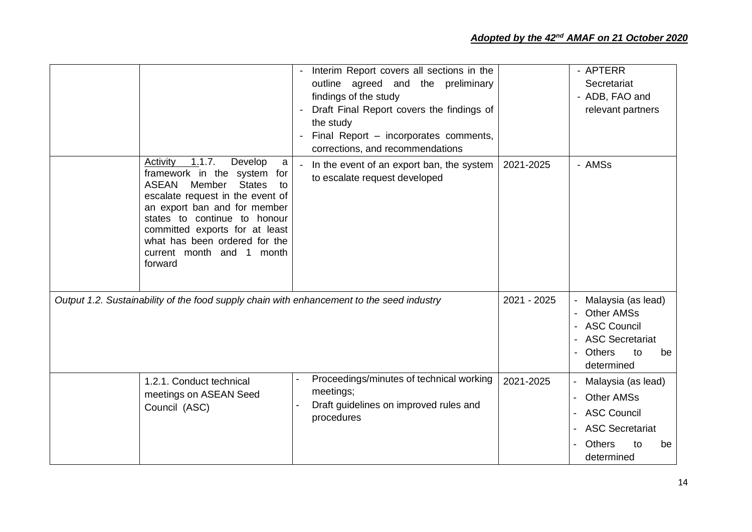|                                                                                                                                                                                                                                                                                                                                      | Interim Report covers all sections in the<br>outline agreed and the preliminary<br>findings of the study<br>Draft Final Report covers the findings of<br>$\blacksquare$<br>the study<br>Final Report - incorporates comments,<br>corrections, and recommendations |             | - APTERR<br>Secretariat<br>- ADB, FAO and<br>relevant partners                                                                                       |
|--------------------------------------------------------------------------------------------------------------------------------------------------------------------------------------------------------------------------------------------------------------------------------------------------------------------------------------|-------------------------------------------------------------------------------------------------------------------------------------------------------------------------------------------------------------------------------------------------------------------|-------------|------------------------------------------------------------------------------------------------------------------------------------------------------|
| Activity<br>1.1.7.<br>Develop<br>a<br>framework in the system<br>for<br><b>ASEAN</b><br><b>States</b><br>Member<br>to<br>escalate request in the event of<br>an export ban and for member<br>states to continue to honour<br>committed exports for at least<br>what has been ordered for the<br>current month and 1 month<br>forward | In the event of an export ban, the system<br>to escalate request developed                                                                                                                                                                                        | 2021-2025   | - AMSs                                                                                                                                               |
| Output 1.2. Sustainability of the food supply chain with enhancement to the seed industry                                                                                                                                                                                                                                            |                                                                                                                                                                                                                                                                   | 2021 - 2025 | Malaysia (as lead)<br><b>Other AMSs</b><br>$\blacksquare$<br><b>ASC Council</b><br><b>ASC Secretariat</b><br><b>Others</b><br>to<br>be<br>determined |
| 1.2.1. Conduct technical<br>meetings on ASEAN Seed<br>Council (ASC)                                                                                                                                                                                                                                                                  | Proceedings/minutes of technical working<br>meetings;<br>Draft guidelines on improved rules and<br>procedures                                                                                                                                                     | 2021-2025   | Malaysia (as lead)<br><b>Other AMSs</b><br>$\blacksquare$<br><b>ASC Council</b><br><b>ASC Secretariat</b><br><b>Others</b><br>to<br>be<br>determined |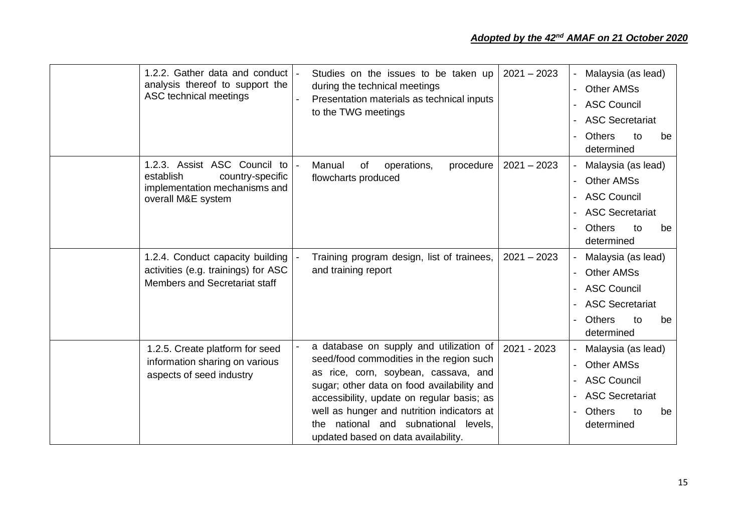| 1.2.2. Gather data and conduct  -<br>analysis thereof to support the<br>ASC technical meetings                       | Studies on the issues to be taken up<br>during the technical meetings<br>Presentation materials as technical inputs<br>to the TWG meetings                                                                                                                                                                                                               | $2021 - 2023$ | Malaysia (as lead)<br><b>Other AMSs</b><br>$\overline{\phantom{a}}$<br><b>ASC Council</b><br><b>ASC Secretariat</b><br><b>Others</b><br>to<br>be<br>determined |
|----------------------------------------------------------------------------------------------------------------------|----------------------------------------------------------------------------------------------------------------------------------------------------------------------------------------------------------------------------------------------------------------------------------------------------------------------------------------------------------|---------------|----------------------------------------------------------------------------------------------------------------------------------------------------------------|
| 1.2.3. Assist ASC Council to<br>establish<br>country-specific<br>implementation mechanisms and<br>overall M&E system | Manual<br>of<br>procedure<br>operations,<br>flowcharts produced                                                                                                                                                                                                                                                                                          | $2021 - 2023$ | Malaysia (as lead)<br><b>Other AMSs</b><br><b>ASC Council</b><br><b>ASC Secretariat</b><br><b>Others</b><br>to<br>be<br>determined                             |
| 1.2.4. Conduct capacity building<br>activities (e.g. trainings) for ASC<br>Members and Secretariat staff             | Training program design, list of trainees,<br>and training report                                                                                                                                                                                                                                                                                        | $2021 - 2023$ | Malaysia (as lead)<br><b>Other AMSs</b><br>$\overline{\phantom{a}}$<br><b>ASC Council</b><br><b>ASC Secretariat</b><br><b>Others</b><br>to<br>be<br>determined |
| 1.2.5. Create platform for seed<br>information sharing on various<br>aspects of seed industry                        | a database on supply and utilization of<br>seed/food commodities in the region such<br>as rice, corn, soybean, cassava, and<br>sugar; other data on food availability and<br>accessibility, update on regular basis; as<br>well as hunger and nutrition indicators at<br>national and subnational levels,<br>the.<br>updated based on data availability. | 2021 - 2023   | Malaysia (as lead)<br><b>Other AMSs</b><br><b>ASC Council</b><br><b>ASC Secretariat</b><br><b>Others</b><br>to<br>be<br>determined                             |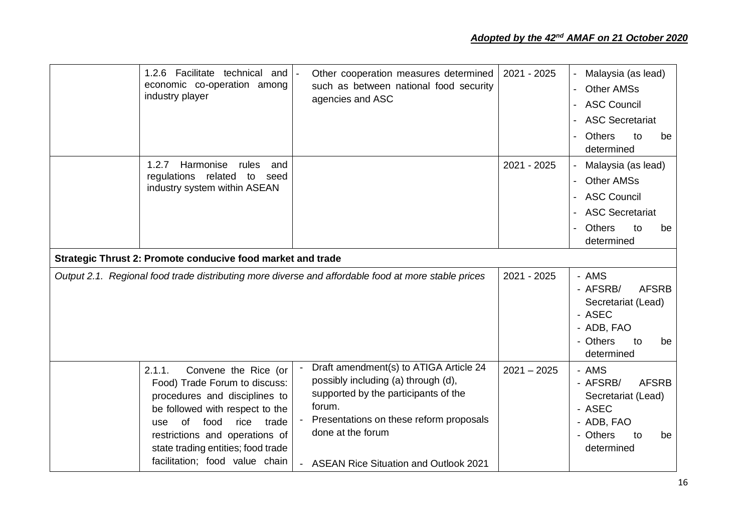| 1.2.6 Facilitate technical and<br>economic co-operation among<br>industry player                           | Other cooperation measures determined<br>such as between national food security<br>agencies and ASC | 2021 - 2025   | Malaysia (as lead)<br><b>Other AMSs</b><br><b>ASC Council</b><br><b>ASC Secretariat</b><br><b>Others</b><br>to<br>be<br>determined |
|------------------------------------------------------------------------------------------------------------|-----------------------------------------------------------------------------------------------------|---------------|------------------------------------------------------------------------------------------------------------------------------------|
| Harmonise<br>1.2.7<br>rules<br>and<br>related<br>regulations<br>to<br>seed<br>industry system within ASEAN |                                                                                                     | 2021 - 2025   | Malaysia (as lead)<br><b>Other AMSs</b><br><b>ASC Council</b><br><b>ASC Secretariat</b><br><b>Others</b><br>to<br>be<br>determined |
| Strategic Thrust 2: Promote conducive food market and trade                                                |                                                                                                     |               |                                                                                                                                    |
|                                                                                                            | Output 2.1. Regional food trade distributing more diverse and affordable food at more stable prices | 2021 - 2025   | - AMS<br>- AFSRB/<br><b>AFSRB</b><br>Secretariat (Lead)<br>- ASEC<br>- ADB, FAO<br>- Others<br>to<br>be<br>determined              |
| Convene the Rice (or<br>2.1.1.                                                                             | Draft amendment(s) to ATIGA Article 24                                                              | $2021 - 2025$ | - AMS                                                                                                                              |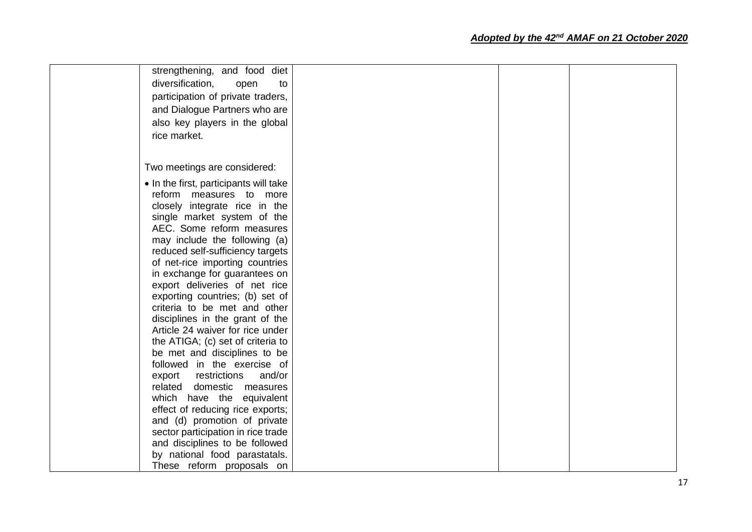# *Adopted by the 42nd AMAF on 21 October 2020*

| strengthening, and food diet<br>diversification.<br>open<br>to<br>participation of private traders,<br>and Dialogue Partners who are<br>also key players in the global<br>rice market.                                                                                                                                                                                                                                                                                                                                                                                                                                                                                                                                                                                                                                                                                                         |  |  |
|------------------------------------------------------------------------------------------------------------------------------------------------------------------------------------------------------------------------------------------------------------------------------------------------------------------------------------------------------------------------------------------------------------------------------------------------------------------------------------------------------------------------------------------------------------------------------------------------------------------------------------------------------------------------------------------------------------------------------------------------------------------------------------------------------------------------------------------------------------------------------------------------|--|--|
| Two meetings are considered:                                                                                                                                                                                                                                                                                                                                                                                                                                                                                                                                                                                                                                                                                                                                                                                                                                                                   |  |  |
| • In the first, participants will take<br>reform measures to more<br>closely integrate rice in the<br>single market system of the<br>AEC. Some reform measures<br>may include the following (a)<br>reduced self-sufficiency targets<br>of net-rice importing countries<br>in exchange for guarantees on<br>export deliveries of net rice<br>exporting countries; (b) set of<br>criteria to be met and other<br>disciplines in the grant of the<br>Article 24 waiver for rice under<br>the ATIGA; (c) set of criteria to<br>be met and disciplines to be<br>followed in the exercise of<br>restrictions<br>and/or<br>export<br>related domestic measures<br>which have the equivalent<br>effect of reducing rice exports;<br>and (d) promotion of private<br>sector participation in rice trade<br>and disciplines to be followed<br>by national food parastatals.<br>These reform proposals on |  |  |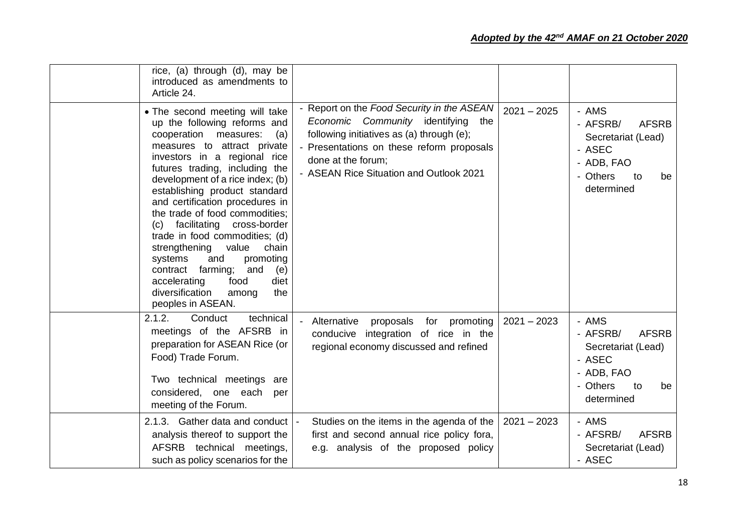| rice, (a) through (d), may be<br>introduced as amendments to<br>Article 24.                                                                                                                                                                                                                                                                                                                                                                                                                                                                                                                                        |                                                                                                                                                                                                                                                |               |                                                                                                                       |
|--------------------------------------------------------------------------------------------------------------------------------------------------------------------------------------------------------------------------------------------------------------------------------------------------------------------------------------------------------------------------------------------------------------------------------------------------------------------------------------------------------------------------------------------------------------------------------------------------------------------|------------------------------------------------------------------------------------------------------------------------------------------------------------------------------------------------------------------------------------------------|---------------|-----------------------------------------------------------------------------------------------------------------------|
| • The second meeting will take<br>up the following reforms and<br>cooperation<br>measures:<br>(a)<br>measures to attract private<br>investors in a regional rice<br>futures trading, including the<br>development of a rice index; (b)<br>establishing product standard<br>and certification procedures in<br>the trade of food commodities;<br>facilitating cross-border<br>(c)<br>trade in food commodities; (d)<br>strengthening<br>value<br>chain<br>systems<br>and<br>promoting<br>farming;<br>and<br>contract<br>(e)<br>accelerating<br>food<br>diet<br>diversification<br>among<br>the<br>peoples in ASEAN. | - Report on the Food Security in the ASEAN<br>Economic Community identifying<br>the<br>following initiatives as (a) through (e);<br>- Presentations on these reform proposals<br>done at the forum;<br>- ASEAN Rice Situation and Outlook 2021 | $2021 - 2025$ | - AMS<br>- AFSRB/<br><b>AFSRB</b><br>Secretariat (Lead)<br>- ASEC<br>- ADB, FAO<br>- Others<br>to<br>be<br>determined |
| 2.1.2.<br>technical<br>Conduct<br>meetings of the AFSRB in<br>preparation for ASEAN Rice (or<br>Food) Trade Forum.<br>Two technical meetings are<br>considered, one each per<br>meeting of the Forum.                                                                                                                                                                                                                                                                                                                                                                                                              | Alternative<br>proposals for promoting<br>integration of rice in the<br>conducive<br>regional economy discussed and refined                                                                                                                    | $2021 - 2023$ | - AMS<br>- AFSRB/<br><b>AFSRB</b><br>Secretariat (Lead)<br>- ASEC<br>- ADB, FAO<br>- Others<br>to<br>be<br>determined |
| 2.1.3. Gather data and conduct<br>analysis thereof to support the<br>AFSRB technical meetings,<br>such as policy scenarios for the                                                                                                                                                                                                                                                                                                                                                                                                                                                                                 | Studies on the items in the agenda of the<br>first and second annual rice policy fora,<br>e.g. analysis of the proposed policy                                                                                                                 | $2021 - 2023$ | - AMS<br>- AFSRB/<br><b>AFSRB</b><br>Secretariat (Lead)<br>- ASEC                                                     |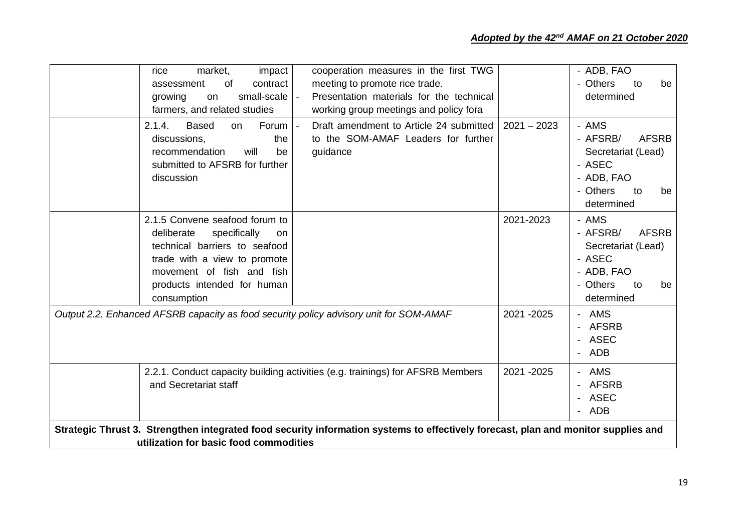| market,<br>impact<br>rice                                                              | cooperation measures in the first TWG                                                                                              |               | - ADB, FAO                          |
|----------------------------------------------------------------------------------------|------------------------------------------------------------------------------------------------------------------------------------|---------------|-------------------------------------|
| 0f<br>contract<br>assessment                                                           | meeting to promote rice trade.                                                                                                     |               | - Others<br>be<br>to                |
| small-scale<br>growing<br>on                                                           | Presentation materials for the technical                                                                                           |               | determined                          |
| farmers, and related studies                                                           | working group meetings and policy fora                                                                                             |               |                                     |
| 2.1.4.<br><b>Based</b><br>Forum<br>on.<br>discussions,<br>the                          | Draft amendment to Article 24 submitted<br>to the SOM-AMAF Leaders for further                                                     | $2021 - 2023$ | - AMS<br>- AFSRB/<br><b>AFSRB</b>   |
| recommendation<br>will<br>be<br>submitted to AFSRB for further                         | guidance                                                                                                                           |               | Secretariat (Lead)<br>- ASEC        |
| discussion                                                                             |                                                                                                                                    |               | - ADB, FAO                          |
|                                                                                        |                                                                                                                                    |               | - Others<br>to<br>be<br>determined  |
| 2.1.5 Convene seafood forum to                                                         |                                                                                                                                    | 2021-2023     | - AMS                               |
| deliberate<br>specifically<br>on                                                       |                                                                                                                                    |               | - AFSRB/<br><b>AFSRB</b>            |
| technical barriers to seafood                                                          |                                                                                                                                    |               | Secretariat (Lead)                  |
| trade with a view to promote                                                           |                                                                                                                                    |               | - ASEC                              |
| movement of fish and fish                                                              |                                                                                                                                    |               | - ADB, FAO                          |
| products intended for human                                                            |                                                                                                                                    |               | - Others<br>to<br>be                |
| consumption                                                                            |                                                                                                                                    |               | determined                          |
| Output 2.2. Enhanced AFSRB capacity as food security policy advisory unit for SOM-AMAF |                                                                                                                                    | 2021 - 2025   | - AMS<br>- AFSRB<br>- ASEC<br>- ADB |
| and Secretariat staff                                                                  | 2.2.1. Conduct capacity building activities (e.g. trainings) for AFSRB Members                                                     | 2021 - 2025   | - AMS<br>- AFSRB<br>- ASEC<br>- ADB |
| utilization for basic food commodities                                                 | Strategic Thrust 3. Strengthen integrated food security information systems to effectively forecast, plan and monitor supplies and |               |                                     |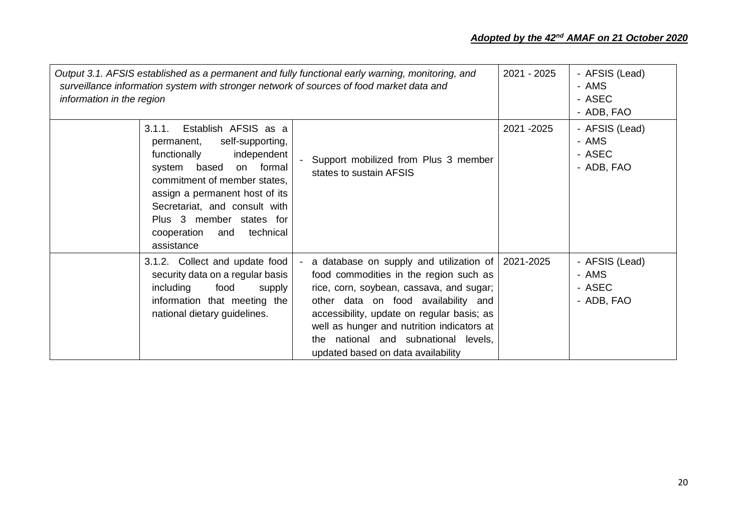# *Adopted by the 42nd AMAF on 21 October 2020*

| information in the region |                                                                                                                                                                                                                                                                                                    | Output 3.1. AFSIS established as a permanent and fully functional early warning, monitoring, and<br>surveillance information system with stronger network of sources of food market data and                                                                                                                                                     | 2021 - 2025 | - AFSIS (Lead)<br>- AMS<br>- ASEC<br>- ADB, FAO |
|---------------------------|----------------------------------------------------------------------------------------------------------------------------------------------------------------------------------------------------------------------------------------------------------------------------------------------------|--------------------------------------------------------------------------------------------------------------------------------------------------------------------------------------------------------------------------------------------------------------------------------------------------------------------------------------------------|-------------|-------------------------------------------------|
| 3.1.1.                    | Establish AFSIS as a<br>self-supporting,<br>permanent,<br>independent<br>functionally<br>system based<br>on formal<br>commitment of member states,<br>assign a permanent host of its<br>Secretariat, and consult with<br>Plus 3 member states for<br>cooperation<br>technical<br>and<br>assistance | Support mobilized from Plus 3 member<br>states to sustain AFSIS                                                                                                                                                                                                                                                                                  | 2021 - 2025 | - AFSIS (Lead)<br>- AMS<br>- ASEC<br>- ADB, FAO |
| including                 | 3.1.2. Collect and update food<br>security data on a regular basis<br>food<br>supply<br>information that meeting the<br>national dietary guidelines.                                                                                                                                               | - a database on supply and utilization of<br>food commodities in the region such as<br>rice, corn, soybean, cassava, and sugar;<br>other data on food availability and<br>accessibility, update on regular basis; as<br>well as hunger and nutrition indicators at<br>the national and subnational levels,<br>updated based on data availability | 2021-2025   | - AFSIS (Lead)<br>- AMS<br>- ASEC<br>- ADB, FAO |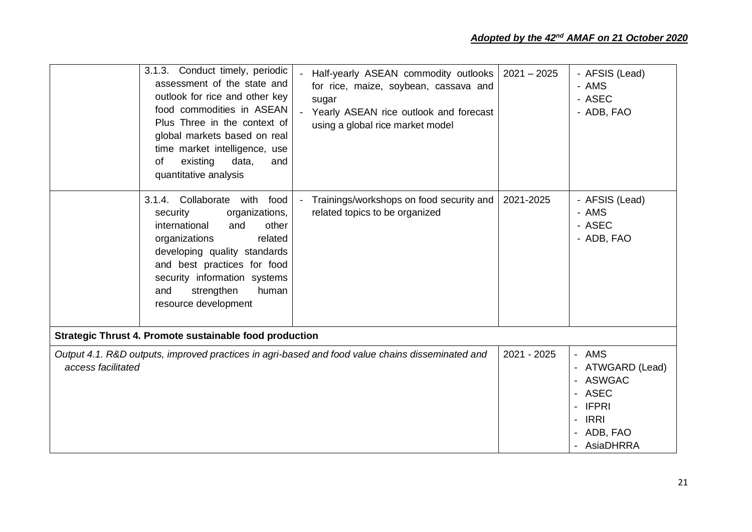|                    | 3.1.3. Conduct timely, periodic<br>assessment of the state and<br>outlook for rice and other key<br>food commodities in ASEAN<br>Plus Three in the context of<br>global markets based on real<br>time market intelligence, use<br>existing<br>data,<br>οf<br>and<br>quantitative analysis<br>food<br>3.1.4. Collaborate<br>with<br>security<br>organizations, | Half-yearly ASEAN commodity outlooks<br>for rice, maize, soybean, cassava and<br>sugar<br>Yearly ASEAN rice outlook and forecast<br>using a global rice market model<br>Trainings/workshops on food security and<br>related topics to be organized | $2021 - 2025$<br>2021-2025 | - AFSIS (Lead)<br>- AMS<br>- ASEC<br>- ADB, FAO<br>- AFSIS (Lead)<br>- AMS                                                          |
|--------------------|---------------------------------------------------------------------------------------------------------------------------------------------------------------------------------------------------------------------------------------------------------------------------------------------------------------------------------------------------------------|----------------------------------------------------------------------------------------------------------------------------------------------------------------------------------------------------------------------------------------------------|----------------------------|-------------------------------------------------------------------------------------------------------------------------------------|
|                    | international<br>other<br>and<br>organizations<br>related<br>developing quality standards<br>and best practices for food<br>security information systems<br>strengthen<br>and<br>human<br>resource development                                                                                                                                                |                                                                                                                                                                                                                                                    |                            | - ASEC<br>- ADB, FAO                                                                                                                |
|                    | Strategic Thrust 4. Promote sustainable food production                                                                                                                                                                                                                                                                                                       |                                                                                                                                                                                                                                                    |                            |                                                                                                                                     |
| access facilitated |                                                                                                                                                                                                                                                                                                                                                               | Output 4.1. R&D outputs, improved practices in agri-based and food value chains disseminated and                                                                                                                                                   | 2021 - 2025                | - AMS<br>- ATWGARD (Lead)<br><b>ASWGAC</b><br><b>ASEC</b><br><b>IFPRI</b><br><b>IRRI</b><br>$\blacksquare$<br>ADB, FAO<br>AsiaDHRRA |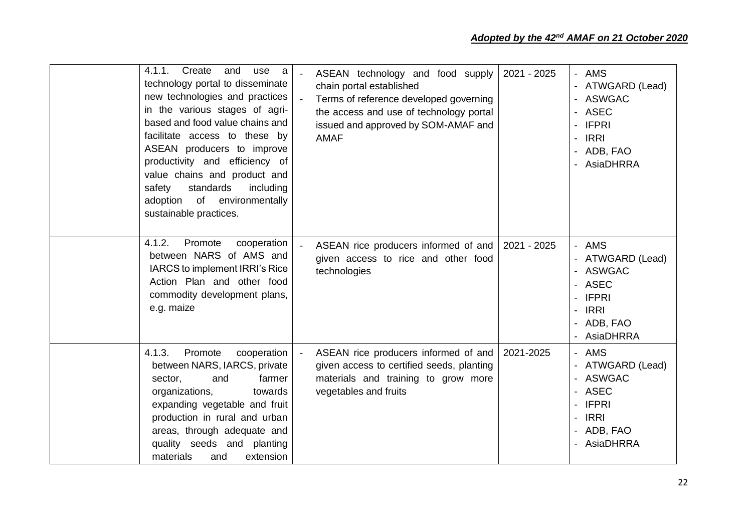| 4.1.1.<br>Create<br>and<br>use a<br>technology portal to disseminate<br>new technologies and practices<br>in the various stages of agri-<br>based and food value chains and<br>facilitate access to these by<br>ASEAN producers to improve<br>productivity and efficiency of<br>value chains and product and<br>standards<br>safety<br>including<br>adoption of environmentally<br>sustainable practices. | ASEAN technology and food supply<br>chain portal established<br>Terms of reference developed governing<br>the access and use of technology portal<br>issued and approved by SOM-AMAF and<br><b>AMAF</b> | 2021 - 2025 | - AMS<br>- ATWGARD (Lead)<br><b>ASWGAC</b><br>ASEC<br>- IFPRI<br><b>IRRI</b><br>- ADB, FAO<br>AsiaDHRRA                                                           |
|-----------------------------------------------------------------------------------------------------------------------------------------------------------------------------------------------------------------------------------------------------------------------------------------------------------------------------------------------------------------------------------------------------------|---------------------------------------------------------------------------------------------------------------------------------------------------------------------------------------------------------|-------------|-------------------------------------------------------------------------------------------------------------------------------------------------------------------|
| 4.1.2.<br>Promote<br>cooperation<br>between NARS of AMS and<br>IARCS to implement IRRI's Rice<br>Action Plan and other food<br>commodity development plans,<br>e.g. maize                                                                                                                                                                                                                                 | ASEAN rice producers informed of and<br>given access to rice and other food<br>technologies                                                                                                             | 2021 - 2025 | - AMS<br>- ATWGARD (Lead)<br>- ASWGAC<br>- ASEC<br><b>IFPRI</b><br><b>IRRI</b><br>- ADB, FAO<br>- AsiaDHRRA                                                       |
| Promote<br>4.1.3.<br>cooperation<br>between NARS, IARCS, private<br>and<br>farmer<br>sector,<br>organizations,<br>towards<br>expanding vegetable and fruit<br>production in rural and urban<br>areas, through adequate and<br>quality seeds and planting<br>materials<br>extension<br>and                                                                                                                 | ASEAN rice producers informed of and<br>given access to certified seeds, planting<br>materials and training to grow more<br>vegetables and fruits                                                       | 2021-2025   | - AMS<br>- ATWGARD (Lead)<br>- ASWGAC<br>- ASEC<br><b>IFPRI</b><br>$\overline{\phantom{a}}$<br><b>IRRI</b><br>$\overline{\phantom{a}}$<br>- ADB, FAO<br>AsiaDHRRA |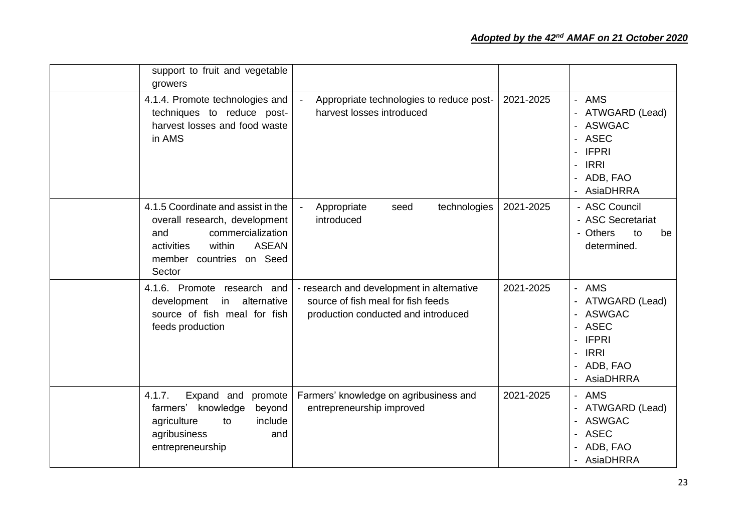| support to fruit and vegetable<br>growers                                                                                                                                     |                                                                                                                        |           |                                                                                                                                                                              |
|-------------------------------------------------------------------------------------------------------------------------------------------------------------------------------|------------------------------------------------------------------------------------------------------------------------|-----------|------------------------------------------------------------------------------------------------------------------------------------------------------------------------------|
| 4.1.4. Promote technologies and<br>techniques to reduce post-<br>harvest losses and food waste<br>in AMS                                                                      | Appropriate technologies to reduce post-<br>harvest losses introduced                                                  | 2021-2025 | AMS<br>$\blacksquare$<br>ATWGARD (Lead)<br><b>ASWGAC</b><br>$\overline{\phantom{a}}$<br><b>ASEC</b><br><b>IFPRI</b><br><b>IRRI</b><br>ADB, FAO<br><b>AsiaDHRRA</b>           |
| 4.1.5 Coordinate and assist in the<br>overall research, development<br>commercialization<br>and<br><b>ASEAN</b><br>activities<br>within<br>member countries on Seed<br>Sector | technologies<br>Appropriate<br>seed<br>introduced                                                                      | 2021-2025 | - ASC Council<br>- ASC Secretariat<br>- Others<br>to<br>be<br>determined.                                                                                                    |
| 4.1.6. Promote research and<br>alternative<br>development<br>in<br>source of fish meal for fish<br>feeds production                                                           | - research and development in alternative<br>source of fish meal for fish feeds<br>production conducted and introduced | 2021-2025 | - AMS<br>ATWGARD (Lead)<br><b>ASWGAC</b><br>$\blacksquare$<br><b>ASEC</b><br><b>IFPRI</b><br><b>IRRI</b><br>$\overline{a}$<br>ADB, FAO<br><b>AsiaDHRRA</b><br>$\blacksquare$ |
| 4.1.7.<br>Expand and<br>promote<br>knowledge<br>farmers'<br>beyond<br>agriculture<br>include<br>to<br>agribusiness<br>and<br>entrepreneurship                                 | Farmers' knowledge on agribusiness and<br>entrepreneurship improved                                                    | 2021-2025 | - AMS<br>ATWGARD (Lead)<br><b>ASWGAC</b><br><b>ASEC</b><br>$\overline{\phantom{a}}$<br>ADB, FAO<br><b>AsiaDHRRA</b>                                                          |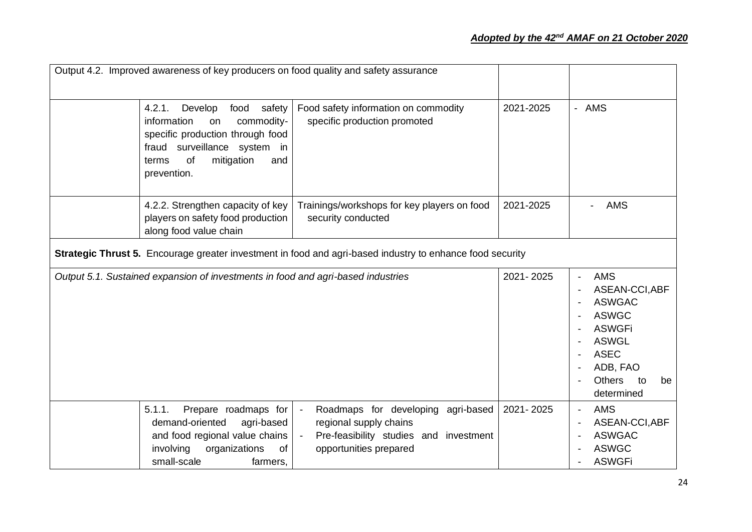|                                                                                                           | Output 4.2. Improved awareness of key producers on food quality and safety assurance                                                                                                          |                                                                                                                                                              |           |                                                                                                                                                                      |
|-----------------------------------------------------------------------------------------------------------|-----------------------------------------------------------------------------------------------------------------------------------------------------------------------------------------------|--------------------------------------------------------------------------------------------------------------------------------------------------------------|-----------|----------------------------------------------------------------------------------------------------------------------------------------------------------------------|
|                                                                                                           | safety<br>4.2.1.<br>Develop<br>food<br>commodity-<br>information<br>on<br>specific production through food<br>fraud surveillance system in<br>mitigation<br>of<br>and<br>terms<br>prevention. | Food safety information on commodity<br>specific production promoted                                                                                         | 2021-2025 | - AMS                                                                                                                                                                |
|                                                                                                           | 4.2.2. Strengthen capacity of key<br>players on safety food production<br>along food value chain                                                                                              | Trainings/workshops for key players on food<br>security conducted                                                                                            | 2021-2025 | <b>AMS</b>                                                                                                                                                           |
| Strategic Thrust 5. Encourage greater investment in food and agri-based industry to enhance food security |                                                                                                                                                                                               |                                                                                                                                                              |           |                                                                                                                                                                      |
|                                                                                                           | Output 5.1. Sustained expansion of investments in food and agri-based industries                                                                                                              |                                                                                                                                                              | 2021-2025 | <b>AMS</b><br>ASEAN-CCI, ABF<br><b>ASWGAC</b><br><b>ASWGC</b><br><b>ASWGFi</b><br><b>ASWGL</b><br><b>ASEC</b><br>ADB, FAO<br><b>Others</b><br>to<br>be<br>determined |
|                                                                                                           | Prepare roadmaps for<br>5.1.1.<br>agri-based<br>demand-oriented<br>and food regional value chains<br>involving<br>organizations<br>of<br>small-scale<br>farmers,                              | Roadmaps for developing agri-based<br>$\sim$<br>regional supply chains<br>Pre-feasibility studies and investment<br>$\blacksquare$<br>opportunities prepared | 2021-2025 | <b>AMS</b><br>$\blacksquare$<br>ASEAN-CCI, ABF<br><b>ASWGAC</b><br><b>ASWGC</b><br><b>ASWGFi</b>                                                                     |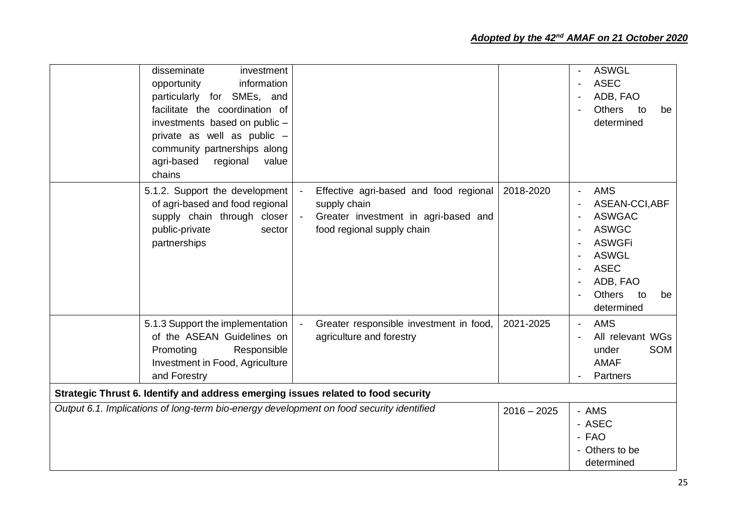| disseminate<br>investment<br>opportunity<br>information<br>particularly for SMEs, and<br>facilitate the coordination of<br>investments based on public -<br>private as well as public -<br>community partnerships along<br>agri-based<br>regional<br>value<br>chains |                                                                                                                              |               | <b>ASWGL</b><br><b>ASEC</b><br>ADB, FAO<br><b>Others</b><br>to<br>be<br>determined                                                                                   |
|----------------------------------------------------------------------------------------------------------------------------------------------------------------------------------------------------------------------------------------------------------------------|------------------------------------------------------------------------------------------------------------------------------|---------------|----------------------------------------------------------------------------------------------------------------------------------------------------------------------|
| 5.1.2. Support the development<br>of agri-based and food regional<br>supply chain through closer<br>public-private<br>sector<br>partnerships                                                                                                                         | Effective agri-based and food regional<br>supply chain<br>Greater investment in agri-based and<br>food regional supply chain | 2018-2020     | <b>AMS</b><br>ASEAN-CCI, ABF<br><b>ASWGAC</b><br><b>ASWGC</b><br><b>ASWGFi</b><br><b>ASWGL</b><br><b>ASEC</b><br>ADB, FAO<br><b>Others</b><br>to<br>be<br>determined |
| 5.1.3 Support the implementation<br>of the ASEAN Guidelines on<br>Promoting<br>Responsible<br>Investment in Food, Agriculture<br>and Forestry                                                                                                                        | Greater responsible investment in food,<br>agriculture and forestry                                                          | 2021-2025     | <b>AMS</b><br>All relevant WGs<br>SOM<br>under<br><b>AMAF</b><br>Partners                                                                                            |
| Strategic Thrust 6. Identify and address emerging issues related to food security                                                                                                                                                                                    |                                                                                                                              |               |                                                                                                                                                                      |
| Output 6.1. Implications of long-term bio-energy development on food security identified                                                                                                                                                                             |                                                                                                                              | $2016 - 2025$ | - AMS<br>- ASEC<br>- FAO<br>- Others to be<br>determined                                                                                                             |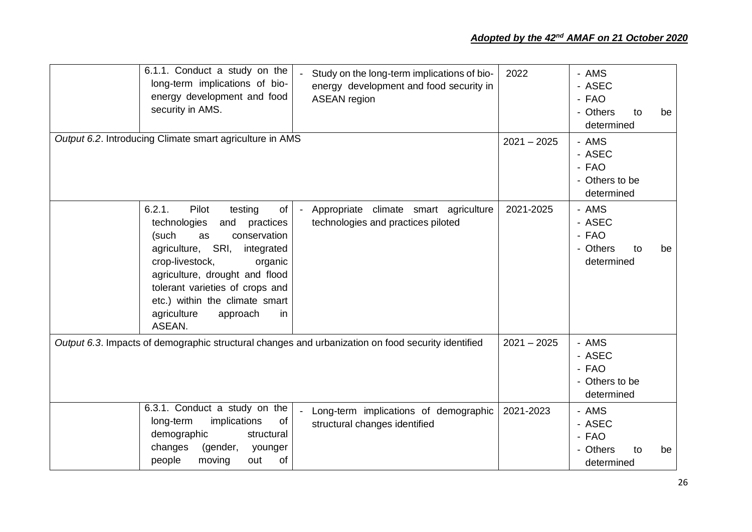| 6.1.1. Conduct a study on the<br>long-term implications of bio-<br>energy development and food<br>security in AMS.                                                                                                                                                                                                        | Study on the long-term implications of bio-<br>energy development and food security in<br><b>ASEAN</b> region | 2022          | - AMS<br>- ASEC<br>- FAO<br>- Others<br>to<br>determined | be |
|---------------------------------------------------------------------------------------------------------------------------------------------------------------------------------------------------------------------------------------------------------------------------------------------------------------------------|---------------------------------------------------------------------------------------------------------------|---------------|----------------------------------------------------------|----|
| Output 6.2. Introducing Climate smart agriculture in AMS                                                                                                                                                                                                                                                                  |                                                                                                               | $2021 - 2025$ | - AMS<br>- ASEC<br>- FAO<br>- Others to be<br>determined |    |
| 6.2.1.<br>Pilot<br>testing<br>of<br>technologies<br>and<br>practices<br>(such<br>conservation<br>as<br>SRI,<br>agriculture,<br>integrated<br>crop-livestock,<br>organic<br>agriculture, drought and flood<br>tolerant varieties of crops and<br>etc.) within the climate smart<br>agriculture<br>in<br>approach<br>ASEAN. | Appropriate climate smart agriculture<br>technologies and practices piloted                                   | 2021-2025     | - AMS<br>- ASEC<br>- FAO<br>- Others<br>to<br>determined | be |
|                                                                                                                                                                                                                                                                                                                           | Output 6.3. Impacts of demographic structural changes and urbanization on food security identified            | $2021 - 2025$ | - AMS<br>- ASEC<br>- FAO<br>- Others to be<br>determined |    |
| 6.3.1. Conduct a study on the<br>implications<br>of<br>long-term<br>demographic<br>structural<br>changes<br>(gender,<br>younger<br>people<br>moving<br>out<br>of                                                                                                                                                          | Long-term implications of demographic<br>structural changes identified                                        | 2021-2023     | - AMS<br>- ASEC<br>- FAO<br>- Others<br>to<br>determined | be |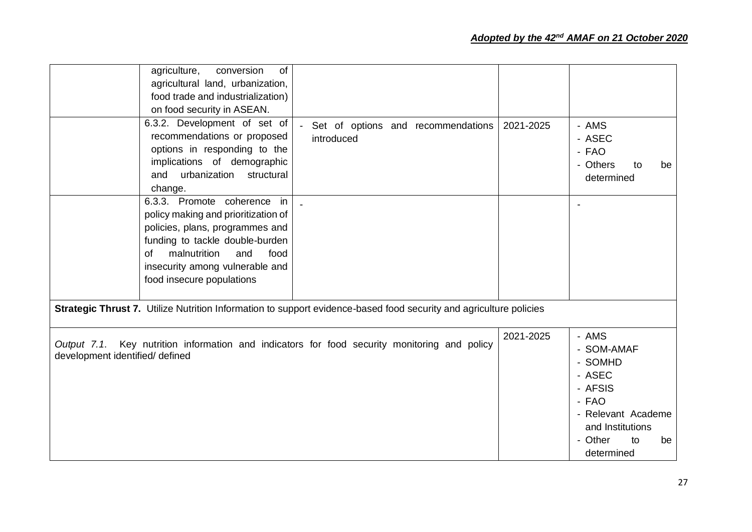|                                                | of<br>agriculture,<br>conversion<br>agricultural land, urbanization,<br>food trade and industrialization)                                                                                                                                             |                                                                                                                    |           |                                                                                                                                             |
|------------------------------------------------|-------------------------------------------------------------------------------------------------------------------------------------------------------------------------------------------------------------------------------------------------------|--------------------------------------------------------------------------------------------------------------------|-----------|---------------------------------------------------------------------------------------------------------------------------------------------|
| and                                            | on food security in ASEAN.<br>6.3.2. Development of set of<br>recommendations or proposed<br>options in responding to the<br>implications of demographic<br>urbanization<br>structural                                                                | Set of options and recommendations<br>introduced                                                                   | 2021-2025 | - AMS<br>- ASEC<br>- FAO<br>- Others<br>to<br>be<br>determined                                                                              |
| of                                             | change.<br>6.3.3. Promote coherence<br>in<br>policy making and prioritization of<br>policies, plans, programmes and<br>funding to tackle double-burden<br>malnutrition<br>and<br>food<br>insecurity among vulnerable and<br>food insecure populations |                                                                                                                    |           |                                                                                                                                             |
|                                                |                                                                                                                                                                                                                                                       | Strategic Thrust 7. Utilize Nutrition Information to support evidence-based food security and agriculture policies |           |                                                                                                                                             |
| Output 7.1.<br>development identified/ defined |                                                                                                                                                                                                                                                       | Key nutrition information and indicators for food security monitoring and policy                                   | 2021-2025 | - AMS<br>- SOM-AMAF<br>- SOMHD<br>- ASEC<br>- AFSIS<br>- FAO<br>- Relevant Academe<br>and Institutions<br>- Other<br>to<br>be<br>determined |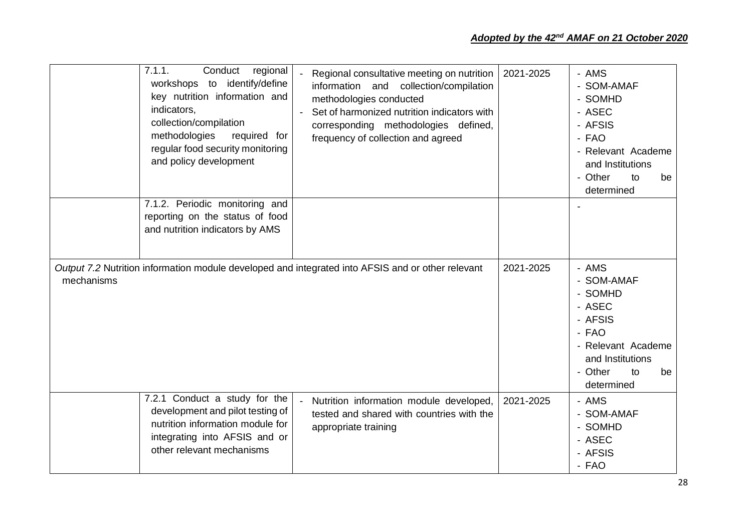|            | 7.1.1.<br>Conduct<br>regional<br>workshops to identify/define<br>key nutrition information and<br>indicators,<br>collection/compilation<br>methodologies<br>required for<br>regular food security monitoring<br>and policy development | Regional consultative meeting on nutrition<br>information and collection/compilation<br>methodologies conducted<br>Set of harmonized nutrition indicators with<br>corresponding methodologies defined,<br>frequency of collection and agreed | 2021-2025 | - AMS<br>- SOM-AMAF<br>- SOMHD<br>- ASEC<br>- AFSIS<br>- FAO<br>- Relevant Academe<br>and Institutions<br>- Other<br>to<br>be<br>determined |
|------------|----------------------------------------------------------------------------------------------------------------------------------------------------------------------------------------------------------------------------------------|----------------------------------------------------------------------------------------------------------------------------------------------------------------------------------------------------------------------------------------------|-----------|---------------------------------------------------------------------------------------------------------------------------------------------|
|            | 7.1.2. Periodic monitoring and<br>reporting on the status of food<br>and nutrition indicators by AMS                                                                                                                                   |                                                                                                                                                                                                                                              |           |                                                                                                                                             |
| mechanisms |                                                                                                                                                                                                                                        | Output 7.2 Nutrition information module developed and integrated into AFSIS and or other relevant                                                                                                                                            | 2021-2025 | - AMS<br>- SOM-AMAF<br>- SOMHD<br>- ASEC<br>- AFSIS<br>- FAO<br>- Relevant Academe<br>and Institutions<br>- Other<br>be<br>to<br>determined |
|            | 7.2.1 Conduct a study for the<br>development and pilot testing of<br>nutrition information module for<br>integrating into AFSIS and or<br>other relevant mechanisms                                                                    | Nutrition information module developed,<br>tested and shared with countries with the<br>appropriate training                                                                                                                                 | 2021-2025 | - AMS<br>- SOM-AMAF<br>- SOMHD<br>- ASEC<br>- AFSIS<br>- FAO                                                                                |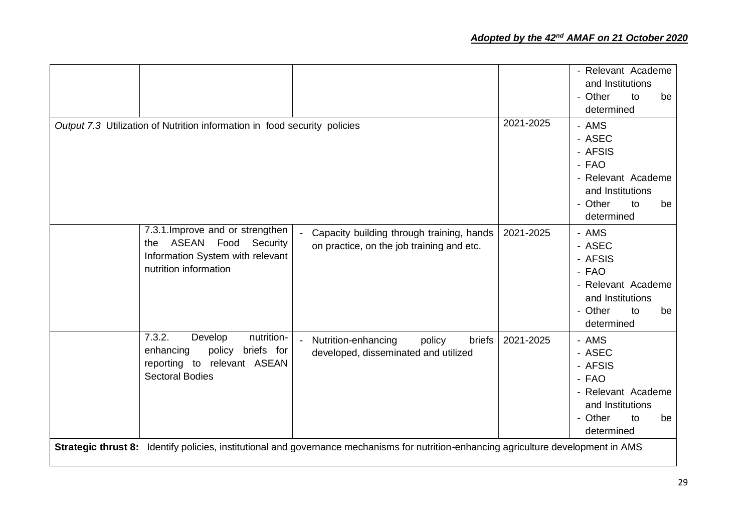|                                                                                                                                |                                                                                                                                       |           | - Relevant Academe<br>and Institutions<br>- Other<br>be<br>to<br>determined                                        |
|--------------------------------------------------------------------------------------------------------------------------------|---------------------------------------------------------------------------------------------------------------------------------------|-----------|--------------------------------------------------------------------------------------------------------------------|
| Output 7.3 Utilization of Nutrition information in food security policies                                                      |                                                                                                                                       | 2021-2025 | - AMS<br>- ASEC<br>- AFSIS<br>- FAO<br>- Relevant Academe<br>and Institutions<br>- Other<br>be<br>to<br>determined |
| 7.3.1. Improve and or strengthen<br>ASEAN Food<br>Security<br>the<br>Information System with relevant<br>nutrition information | Capacity building through training, hands<br>on practice, on the job training and etc.                                                | 2021-2025 | - AMS<br>- ASEC<br>- AFSIS<br>- FAO<br>- Relevant Academe<br>and Institutions<br>- Other<br>to<br>be<br>determined |
| 7.3.2.<br>Develop<br>nutrition-<br>policy<br>enhancing<br>briefs for<br>reporting to relevant ASEAN<br><b>Sectoral Bodies</b>  | Nutrition-enhancing<br>policy<br>briefs<br>$\blacksquare$<br>developed, disseminated and utilized                                     | 2021-2025 | - AMS<br>- ASEC<br>- AFSIS<br>- FAO<br>- Relevant Academe<br>and Institutions<br>- Other<br>to<br>be<br>determined |
|                                                                                                                                | Strategic thrust 8: Identify policies, institutional and governance mechanisms for nutrition-enhancing agriculture development in AMS |           |                                                                                                                    |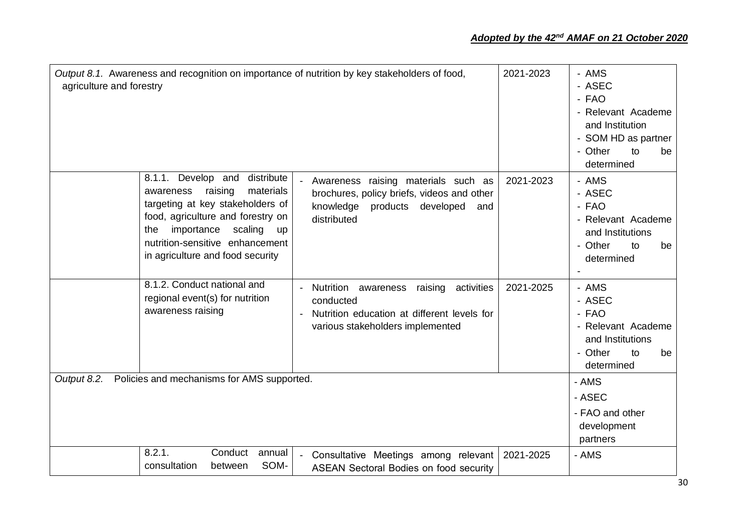| Output 8.1. Awareness and recognition on importance of nutrition by key stakeholders of food,<br>agriculture and forestry |                                                                                                                                                                                                                                         | 2021-2023                                                                                                                                  | - AMS<br>- ASEC<br>- FAO<br>- Relevant Academe<br>and Institution<br>- SOM HD as partner<br>- Other<br>to<br>be<br>determined |                                                                                                         |
|---------------------------------------------------------------------------------------------------------------------------|-----------------------------------------------------------------------------------------------------------------------------------------------------------------------------------------------------------------------------------------|--------------------------------------------------------------------------------------------------------------------------------------------|-------------------------------------------------------------------------------------------------------------------------------|---------------------------------------------------------------------------------------------------------|
| 8.1.1.<br>awareness<br>the                                                                                                | distribute<br>Develop and<br>materials<br>raising<br>targeting at key stakeholders of<br>food, agriculture and forestry on<br>importance<br>scaling<br><b>up</b><br>nutrition-sensitive enhancement<br>in agriculture and food security | Awareness raising materials such as<br>brochures, policy briefs, videos and other<br>knowledge<br>products developed<br>and<br>distributed | 2021-2023                                                                                                                     | - AMS<br>- ASEC<br>- FAO<br>- Relevant Academe<br>and Institutions<br>- Other<br>to<br>be<br>determined |
|                                                                                                                           | 8.1.2. Conduct national and<br>regional event(s) for nutrition<br>awareness raising                                                                                                                                                     | Nutrition awareness raising<br>activities<br>conducted<br>Nutrition education at different levels for<br>various stakeholders implemented  | 2021-2025                                                                                                                     | - AMS<br>- ASEC<br>- FAO<br>- Relevant Academe<br>and Institutions<br>- Other<br>to<br>be<br>determined |
| Output 8.2.                                                                                                               | Policies and mechanisms for AMS supported.                                                                                                                                                                                              |                                                                                                                                            |                                                                                                                               | - AMS<br>- ASEC<br>- FAO and other<br>development<br>partners                                           |
| 8.2.1.<br>consultation                                                                                                    | Conduct<br>annual<br>SOM-<br>between                                                                                                                                                                                                    | - Consultative Meetings among relevant<br><b>ASEAN Sectoral Bodies on food security</b>                                                    | 2021-2025                                                                                                                     | - AMS                                                                                                   |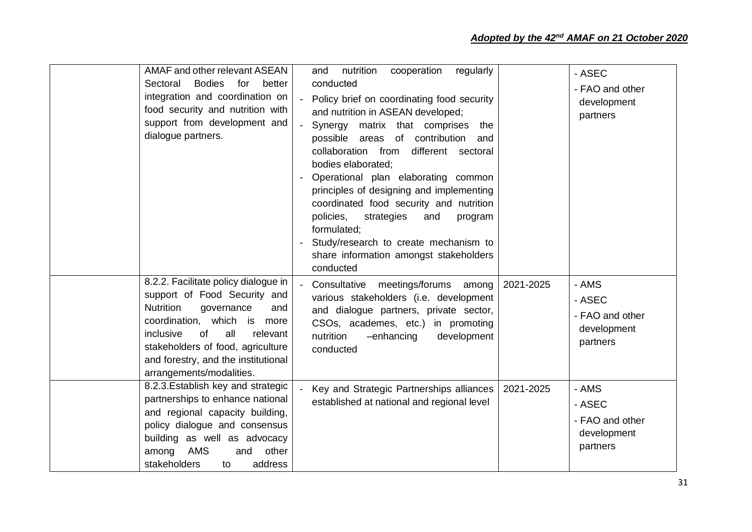| <b>AMAF and other relevant ASEAN</b><br><b>Bodies</b><br>for better<br>Sectoral<br>integration and coordination on<br>food security and nutrition with<br>support from development and<br>dialogue partners.                                                                               | nutrition<br>regularly<br>cooperation<br>and<br>conducted<br>- Policy brief on coordinating food security<br>and nutrition in ASEAN developed;<br>- Synergy matrix that comprises the<br>possible areas of contribution<br>and<br>collaboration from<br>different sectoral<br>bodies elaborated;<br>Operational plan elaborating common<br>principles of designing and implementing<br>coordinated food security and nutrition<br>policies,<br>strategies<br>and<br>program<br>formulated;<br>Study/research to create mechanism to<br>share information amongst stakeholders<br>conducted | - ASEC<br>- FAO and other<br>development<br>partners                       |
|--------------------------------------------------------------------------------------------------------------------------------------------------------------------------------------------------------------------------------------------------------------------------------------------|--------------------------------------------------------------------------------------------------------------------------------------------------------------------------------------------------------------------------------------------------------------------------------------------------------------------------------------------------------------------------------------------------------------------------------------------------------------------------------------------------------------------------------------------------------------------------------------------|----------------------------------------------------------------------------|
| 8.2.2. Facilitate policy dialogue in<br>support of Food Security and<br><b>Nutrition</b><br>governance<br>and<br>coordination, which is more<br>of<br>all<br>inclusive<br>relevant<br>stakeholders of food, agriculture<br>and forestry, and the institutional<br>arrangements/modalities. | Consultative meetings/forums among<br>various stakeholders (i.e. development<br>and dialogue partners, private sector,<br>CSOs, academes, etc.) in promoting<br>nutrition<br>development<br>-enhancing<br>conducted                                                                                                                                                                                                                                                                                                                                                                        | - AMS<br>2021-2025<br>- ASEC<br>- FAO and other<br>development<br>partners |
| 8.2.3. Establish key and strategic<br>partnerships to enhance national<br>and regional capacity building,<br>policy dialogue and consensus<br>building as well as advocacy<br><b>AMS</b><br>and<br>other<br>among<br>address<br>stakeholders<br>to                                         | Key and Strategic Partnerships alliances<br>established at national and regional level                                                                                                                                                                                                                                                                                                                                                                                                                                                                                                     | - AMS<br>2021-2025<br>- ASEC<br>- FAO and other<br>development<br>partners |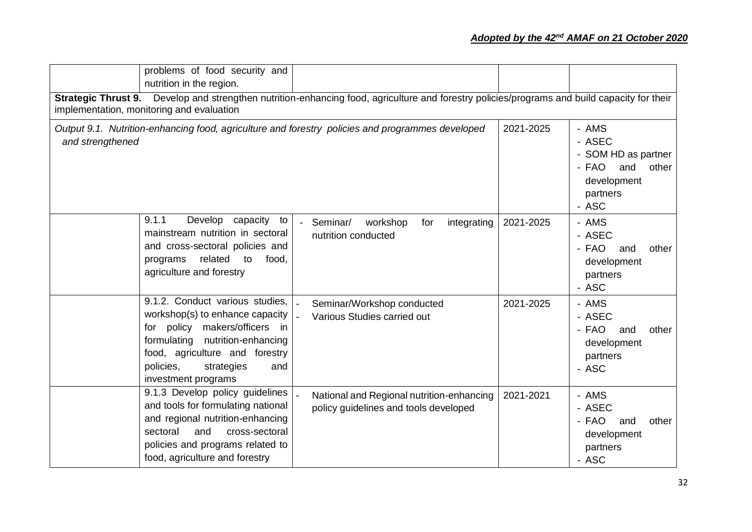|                  | problems of food security and<br>nutrition in the region.                                                                                                                                                                                   |                                                                                                                                              |           |                                                                                                     |
|------------------|---------------------------------------------------------------------------------------------------------------------------------------------------------------------------------------------------------------------------------------------|----------------------------------------------------------------------------------------------------------------------------------------------|-----------|-----------------------------------------------------------------------------------------------------|
|                  | implementation, monitoring and evaluation                                                                                                                                                                                                   | Strategic Thrust 9. Develop and strengthen nutrition-enhancing food, agriculture and forestry policies/programs and build capacity for their |           |                                                                                                     |
| and strengthened |                                                                                                                                                                                                                                             | Output 9.1. Nutrition-enhancing food, agriculture and forestry policies and programmes developed                                             | 2021-2025 | - AMS<br>- ASEC<br>- SOM HD as partner<br>- FAO<br>and<br>other<br>development<br>partners<br>- ASC |
|                  | Develop capacity to<br>9.1.1<br>mainstream nutrition in sectoral<br>and cross-sectoral policies and<br>related<br>programs<br>food,<br>to<br>agriculture and forestry                                                                       | - Seminar/<br>workshop<br>integrating<br>for<br>nutrition conducted                                                                          | 2021-2025 | - AMS<br>- ASEC<br>- FAO<br>and<br>other<br>development<br>partners<br>- ASC                        |
|                  | 9.1.2. Conduct various studies.<br>workshop(s) to enhance capacity<br>for policy<br>makers/officers<br>in.<br>formulating<br>nutrition-enhancing<br>food, agriculture and forestry<br>policies,<br>strategies<br>and<br>investment programs | Seminar/Workshop conducted<br>Various Studies carried out                                                                                    | 2021-2025 | - AMS<br>- ASEC<br>- FAO<br>other<br>and<br>development<br>partners<br>- ASC                        |
|                  | 9.1.3 Develop policy guidelines<br>and tools for formulating national<br>and regional nutrition-enhancing<br>and<br>sectoral<br>cross-sectoral<br>policies and programs related to<br>food, agriculture and forestry                        | National and Regional nutrition-enhancing<br>policy guidelines and tools developed                                                           | 2021-2021 | - AMS<br>- ASEC<br>- FAO<br>and<br>other<br>development<br>partners<br>- ASC                        |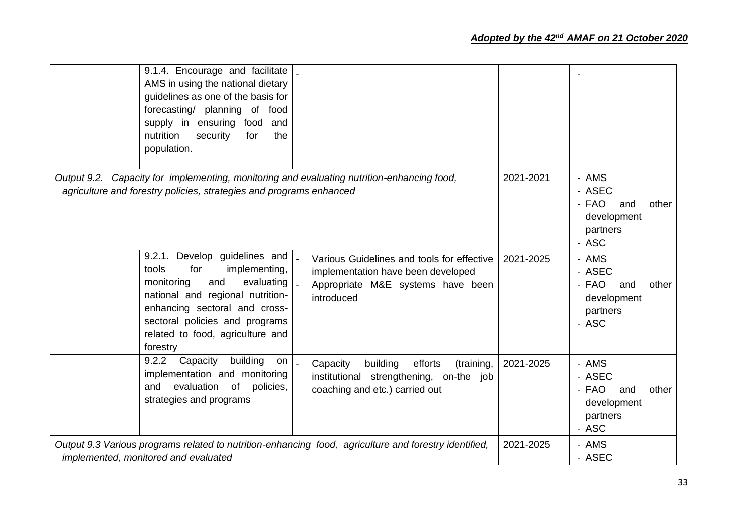| 9.1.4. Encourage and facilitate<br>AMS in using the national dietary<br>guidelines as one of the basis for<br>forecasting/ planning of food<br>supply in ensuring<br>food<br>and<br>nutrition<br>security<br>for<br>the<br>population.                   |                                                                                                                                     |           |                                                                              |
|----------------------------------------------------------------------------------------------------------------------------------------------------------------------------------------------------------------------------------------------------------|-------------------------------------------------------------------------------------------------------------------------------------|-----------|------------------------------------------------------------------------------|
| Output 9.2. Capacity for implementing, monitoring and evaluating nutrition-enhancing food,<br>agriculture and forestry policies, strategies and programs enhanced                                                                                        |                                                                                                                                     | 2021-2021 | - AMS<br>- ASEC<br>- FAO<br>other<br>and<br>development<br>partners<br>- ASC |
| 9.2.1. Develop guidelines and<br>implementing,<br>tools<br>for<br>evaluating<br>monitoring<br>and<br>national and regional nutrition-<br>enhancing sectoral and cross-<br>sectoral policies and programs<br>related to food, agriculture and<br>forestry | Various Guidelines and tools for effective<br>implementation have been developed<br>Appropriate M&E systems have been<br>introduced | 2021-2025 | - AMS<br>- ASEC<br>- FAO<br>other<br>and<br>development<br>partners<br>- ASC |
| building<br>9.2.2<br>Capacity<br>on<br>implementation and monitoring<br>evaluation<br>of<br>and<br>policies,<br>strategies and programs                                                                                                                  | Capacity<br>building<br>efforts<br>(training,<br>institutional strengthening, on-the job<br>coaching and etc.) carried out          | 2021-2025 | - AMS<br>- ASEC<br>- FAO<br>and<br>other<br>development<br>partners<br>- ASC |
| Output 9.3 Various programs related to nutrition-enhancing food, agriculture and forestry identified,<br>implemented, monitored and evaluated                                                                                                            |                                                                                                                                     | 2021-2025 | - AMS<br>- ASEC                                                              |